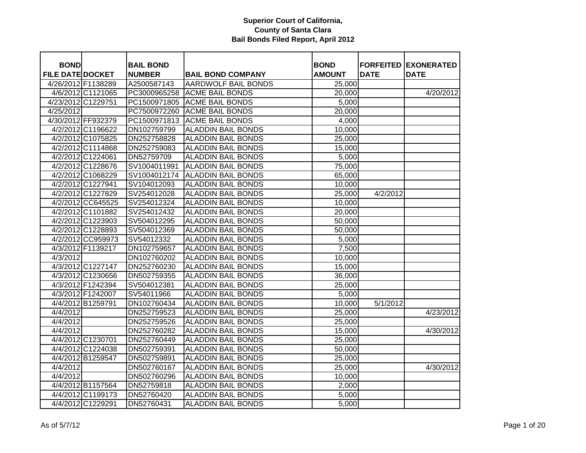| <b>BOND</b>             |                    | <b>BAIL BOND</b> |                            | <b>BOND</b>   |             | <b>FORFEITED EXONERATED</b> |
|-------------------------|--------------------|------------------|----------------------------|---------------|-------------|-----------------------------|
| <b>FILE DATE DOCKET</b> |                    | <b>NUMBER</b>    | <b>BAIL BOND COMPANY</b>   | <b>AMOUNT</b> | <b>DATE</b> | <b>DATE</b>                 |
| 4/26/2012 F1138289      |                    | A2500587143      | <b>AARDWOLF BAIL BONDS</b> | 25,000        |             |                             |
|                         | 4/6/2012 C1121065  | PC3000965258     | <b>ACME BAIL BONDS</b>     | 20,000        |             | 4/20/2012                   |
| 4/23/2012 C1229751      |                    | PC1500971805     | <b>ACME BAIL BONDS</b>     | 5,000         |             |                             |
| 4/25/2012               |                    | PC7500972260     | <b>ACME BAIL BONDS</b>     | 20,000        |             |                             |
|                         | 4/30/2012 FF932379 | PC1500971813     | <b>ACME BAIL BONDS</b>     | 4,000         |             |                             |
|                         | 4/2/2012 C1196622  | DN102759799      | <b>ALADDIN BAIL BONDS</b>  | 10,000        |             |                             |
|                         | 4/2/2012 C1075825  | DN252758828      | <b>ALADDIN BAIL BONDS</b>  | 25,000        |             |                             |
|                         | 4/2/2012 C1114868  | DN252759083      | <b>ALADDIN BAIL BONDS</b>  | 15,000        |             |                             |
|                         | 4/2/2012 C1224061  | DN52759709       | <b>ALADDIN BAIL BONDS</b>  | 5,000         |             |                             |
|                         | 4/2/2012 C1228676  | SV1004011991     | <b>ALADDIN BAIL BONDS</b>  | 75,000        |             |                             |
|                         | 4/2/2012 C1068229  | SV1004012174     | <b>ALADDIN BAIL BONDS</b>  | 65,000        |             |                             |
|                         | 4/2/2012 C1227941  | SV104012093      | <b>ALADDIN BAIL BONDS</b>  | 10,000        |             |                             |
|                         | 4/2/2012 C1227829  | SV254012028      | <b>ALADDIN BAIL BONDS</b>  | 25,000        | 4/2/2012    |                             |
|                         | 4/2/2012 CC645525  | SV254012324      | <b>ALADDIN BAIL BONDS</b>  | 10,000        |             |                             |
|                         | 4/2/2012 C1101882  | SV254012432      | <b>ALADDIN BAIL BONDS</b>  | 20,000        |             |                             |
|                         | 4/2/2012 C1223903  | SV504012295      | <b>ALADDIN BAIL BONDS</b>  | 50,000        |             |                             |
|                         | 4/2/2012 C1228893  | SV504012369      | <b>ALADDIN BAIL BONDS</b>  | 50,000        |             |                             |
|                         | 4/2/2012 CC959973  | SV54012332       | <b>ALADDIN BAIL BONDS</b>  | 5,000         |             |                             |
|                         | 4/3/2012 F1139217  | DN102759657      | <b>ALADDIN BAIL BONDS</b>  | 7,500         |             |                             |
| 4/3/2012                |                    | DN102760202      | <b>ALADDIN BAIL BONDS</b>  | 10,000        |             |                             |
|                         | 4/3/2012 C1227147  | DN252760230      | <b>ALADDIN BAIL BONDS</b>  | 15,000        |             |                             |
|                         | 4/3/2012 C1230656  | DN502759355      | <b>ALADDIN BAIL BONDS</b>  | 36,000        |             |                             |
|                         | 4/3/2012 F1242394  | SV504012381      | <b>ALADDIN BAIL BONDS</b>  | 25,000        |             |                             |
|                         | 4/3/2012 F1242007  | SV54011966       | <b>ALADDIN BAIL BONDS</b>  | 5,000         |             |                             |
|                         | 4/4/2012 B1259791  | DN102760434      | <b>ALADDIN BAIL BONDS</b>  | 10,000        | 5/1/2012    |                             |
| 4/4/2012                |                    | DN252759523      | <b>ALADDIN BAIL BONDS</b>  | 25,000        |             | 4/23/2012                   |
| 4/4/2012                |                    | DN252759526      | <b>ALADDIN BAIL BONDS</b>  | 25,000        |             |                             |
| 4/4/2012                |                    | DN252760282      | <b>ALADDIN BAIL BONDS</b>  | 15,000        |             | 4/30/2012                   |
|                         | 4/4/2012 C1230701  | DN252760449      | <b>ALADDIN BAIL BONDS</b>  | 25,000        |             |                             |
|                         | 4/4/2012 C1224038  | DN502759391      | <b>ALADDIN BAIL BONDS</b>  | 50,000        |             |                             |
|                         | 4/4/2012 B1259547  | DN502759891      | <b>ALADDIN BAIL BONDS</b>  | 25,000        |             |                             |
| 4/4/2012                |                    | DN502760167      | <b>ALADDIN BAIL BONDS</b>  | 25,000        |             | 4/30/2012                   |
| 4/4/2012                |                    | DN502760296      | <b>ALADDIN BAIL BONDS</b>  | 10,000        |             |                             |
|                         | 4/4/2012 B1157564  | DN52759818       | <b>ALADDIN BAIL BONDS</b>  | 2,000         |             |                             |
|                         | 4/4/2012 C1199173  | DN52760420       | <b>ALADDIN BAIL BONDS</b>  | 5,000         |             |                             |
|                         | 4/4/2012 C1229291  | DN52760431       | <b>ALADDIN BAIL BONDS</b>  | 5,000         |             |                             |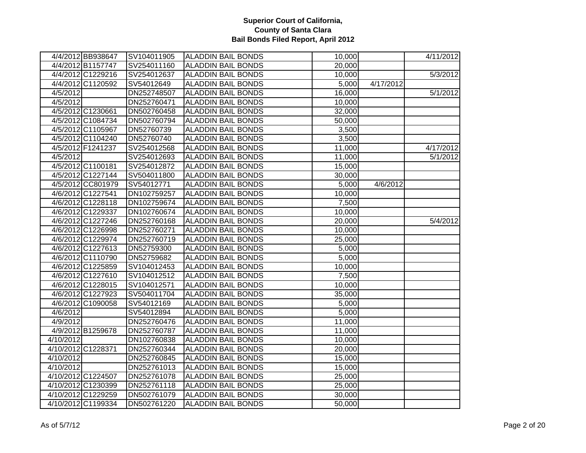| 4/4/2012 BB938647  | SV104011905 | <b>ALADDIN BAIL BONDS</b> | 10,000 |           | 4/11/2012 |
|--------------------|-------------|---------------------------|--------|-----------|-----------|
| 4/4/2012 B1157747  | SV254011160 | <b>ALADDIN BAIL BONDS</b> | 20,000 |           |           |
| 4/4/2012 C1229216  | SV254012637 | <b>ALADDIN BAIL BONDS</b> | 10,000 |           | 5/3/2012  |
| 4/4/2012 C1120592  | SV54012649  | <b>ALADDIN BAIL BONDS</b> | 5,000  | 4/17/2012 |           |
| 4/5/2012           | DN252748507 | <b>ALADDIN BAIL BONDS</b> | 16,000 |           | 5/1/2012  |
| 4/5/2012           | DN252760471 | <b>ALADDIN BAIL BONDS</b> | 10,000 |           |           |
| 4/5/2012 C1230661  | DN502760458 | <b>ALADDIN BAIL BONDS</b> | 32,000 |           |           |
| 4/5/2012 C1084734  | DN502760794 | <b>ALADDIN BAIL BONDS</b> | 50,000 |           |           |
| 4/5/2012 C1105967  | DN52760739  | <b>ALADDIN BAIL BONDS</b> | 3,500  |           |           |
| 4/5/2012 C1104240  | DN52760740  | <b>ALADDIN BAIL BONDS</b> | 3,500  |           |           |
| 4/5/2012 F1241237  | SV254012568 | <b>ALADDIN BAIL BONDS</b> | 11,000 |           | 4/17/2012 |
| 4/5/2012           | SV254012693 | <b>ALADDIN BAIL BONDS</b> | 11,000 |           | 5/1/2012  |
| 4/5/2012 C1100181  | SV254012872 | <b>ALADDIN BAIL BONDS</b> | 15,000 |           |           |
| 4/5/2012 C1227144  | SV504011800 | <b>ALADDIN BAIL BONDS</b> | 30,000 |           |           |
| 4/5/2012 CC801979  | SV54012771  | <b>ALADDIN BAIL BONDS</b> | 5,000  | 4/6/2012  |           |
| 4/6/2012 C1227541  | DN102759257 | <b>ALADDIN BAIL BONDS</b> | 10,000 |           |           |
| 4/6/2012 C1228118  | DN102759674 | <b>ALADDIN BAIL BONDS</b> | 7,500  |           |           |
| 4/6/2012 C1229337  | DN102760674 | <b>ALADDIN BAIL BONDS</b> | 10,000 |           |           |
| 4/6/2012 C1227246  | DN252760168 | <b>ALADDIN BAIL BONDS</b> | 20,000 |           | 5/4/2012  |
| 4/6/2012 C1226998  | DN252760271 | <b>ALADDIN BAIL BONDS</b> | 10,000 |           |           |
| 4/6/2012 C1229974  | DN252760719 | <b>ALADDIN BAIL BONDS</b> | 25,000 |           |           |
| 4/6/2012 C1227613  | DN52759300  | <b>ALADDIN BAIL BONDS</b> | 5,000  |           |           |
| 4/6/2012 C1110790  | DN52759682  | <b>ALADDIN BAIL BONDS</b> | 5,000  |           |           |
| 4/6/2012 C1225859  | SV104012453 | <b>ALADDIN BAIL BONDS</b> | 10,000 |           |           |
| 4/6/2012 C1227610  | SV104012512 | <b>ALADDIN BAIL BONDS</b> | 7,500  |           |           |
| 4/6/2012 C1228015  | SV104012571 | <b>ALADDIN BAIL BONDS</b> | 10,000 |           |           |
| 4/6/2012 C1227923  | SV504011704 | <b>ALADDIN BAIL BONDS</b> | 35,000 |           |           |
| 4/6/2012 C1090058  | SV54012169  | <b>ALADDIN BAIL BONDS</b> | 5,000  |           |           |
| 4/6/2012           | SV54012894  | <b>ALADDIN BAIL BONDS</b> | 5,000  |           |           |
| 4/9/2012           | DN252760476 | <b>ALADDIN BAIL BONDS</b> | 11,000 |           |           |
| 4/9/2012 B1259678  | DN252760787 | <b>ALADDIN BAIL BONDS</b> | 11,000 |           |           |
| 4/10/2012          | DN102760838 | <b>ALADDIN BAIL BONDS</b> | 10,000 |           |           |
| 4/10/2012 C1228371 | DN252760344 | <b>ALADDIN BAIL BONDS</b> | 20,000 |           |           |
| 4/10/2012          | DN252760845 | <b>ALADDIN BAIL BONDS</b> | 15,000 |           |           |
| 4/10/2012          | DN252761013 | <b>ALADDIN BAIL BONDS</b> | 15,000 |           |           |
| 4/10/2012 C1224507 | DN252761078 | <b>ALADDIN BAIL BONDS</b> | 25,000 |           |           |
| 4/10/2012 C1230399 | DN252761118 | <b>ALADDIN BAIL BONDS</b> | 25,000 |           |           |
| 4/10/2012 C1229259 | DN502761079 | <b>ALADDIN BAIL BONDS</b> | 30,000 |           |           |
| 4/10/2012 C1199334 | DN502761220 | <b>ALADDIN BAIL BONDS</b> | 50,000 |           |           |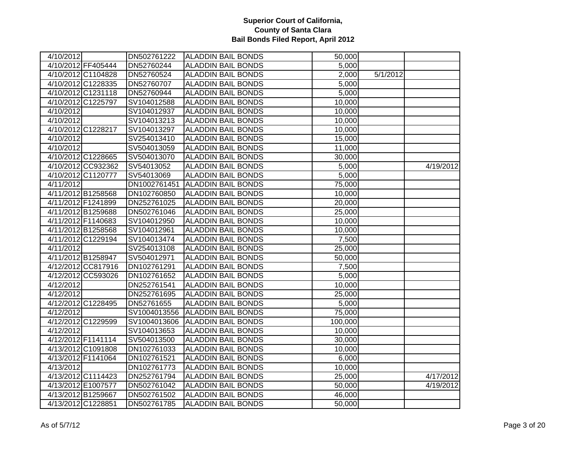| 4/10/2012           |                    | DN502761222  | <b>ALADDIN BAIL BONDS</b> | 50,000  |          |           |
|---------------------|--------------------|--------------|---------------------------|---------|----------|-----------|
|                     | 4/10/2012 FF405444 | DN52760244   | <b>ALADDIN BAIL BONDS</b> | 5,000   |          |           |
|                     | 4/10/2012 C1104828 | DN52760524   | <b>ALADDIN BAIL BONDS</b> | 2,000   | 5/1/2012 |           |
|                     | 4/10/2012 C1228335 | DN52760707   | <b>ALADDIN BAIL BONDS</b> | 5,000   |          |           |
|                     | 4/10/2012 C1231118 | DN52760944   | <b>ALADDIN BAIL BONDS</b> | 5,000   |          |           |
|                     | 4/10/2012 C1225797 | SV104012588  | <b>ALADDIN BAIL BONDS</b> | 10,000  |          |           |
| $\frac{4}{10/2012}$ |                    | SV104012937  | <b>ALADDIN BAIL BONDS</b> | 10,000  |          |           |
| 4/10/2012           |                    | SV104013213  | <b>ALADDIN BAIL BONDS</b> | 10,000  |          |           |
|                     | 4/10/2012 C1228217 | SV104013297  | <b>ALADDIN BAIL BONDS</b> | 10,000  |          |           |
| 4/10/2012           |                    | SV254013410  | <b>ALADDIN BAIL BONDS</b> | 15,000  |          |           |
| 4/10/2012           |                    | SV504013059  | <b>ALADDIN BAIL BONDS</b> | 11,000  |          |           |
|                     | 4/10/2012 C1228665 | SV504013070  | <b>ALADDIN BAIL BONDS</b> | 30,000  |          |           |
|                     | 4/10/2012 CC932362 | SV54013052   | <b>ALADDIN BAIL BONDS</b> | 5,000   |          | 4/19/2012 |
|                     | 4/10/2012 C1120777 | SV54013069   | <b>ALADDIN BAIL BONDS</b> | 5,000   |          |           |
| 4/11/2012           |                    | DN1002761451 | <b>ALADDIN BAIL BONDS</b> | 75,000  |          |           |
|                     | 4/11/2012 B1258568 | DN102760850  | <b>ALADDIN BAIL BONDS</b> | 10,000  |          |           |
|                     | 4/11/2012 F1241899 | DN252761025  | <b>ALADDIN BAIL BONDS</b> | 20,000  |          |           |
|                     | 4/11/2012 B1259688 | DN502761046  | <b>ALADDIN BAIL BONDS</b> | 25,000  |          |           |
|                     | 4/11/2012 F1140683 | SV104012950  | <b>ALADDIN BAIL BONDS</b> | 10,000  |          |           |
|                     | 4/11/2012 B1258568 | SV104012961  | <b>ALADDIN BAIL BONDS</b> | 10,000  |          |           |
|                     | 4/11/2012 C1229194 | SV104013474  | <b>ALADDIN BAIL BONDS</b> | 7,500   |          |           |
| 4/11/2012           |                    | SV254013108  | <b>ALADDIN BAIL BONDS</b> | 25,000  |          |           |
|                     | 4/11/2012 B1258947 | SV504012971  | <b>ALADDIN BAIL BONDS</b> | 50,000  |          |           |
|                     | 4/12/2012 CC817916 | DN102761291  | <b>ALADDIN BAIL BONDS</b> | 7,500   |          |           |
|                     | 4/12/2012 CC593026 | DN102761652  | <b>ALADDIN BAIL BONDS</b> | 5,000   |          |           |
| 4/12/2012           |                    | DN252761541  | <b>ALADDIN BAIL BONDS</b> | 10,000  |          |           |
| $\frac{4}{12/2012}$ |                    | DN252761695  | <b>ALADDIN BAIL BONDS</b> | 25,000  |          |           |
|                     | 4/12/2012 C1228495 | DN52761655   | <b>ALADDIN BAIL BONDS</b> | 5,000   |          |           |
| 4/12/2012           |                    | SV1004013556 | <b>ALADDIN BAIL BONDS</b> | 75,000  |          |           |
|                     | 4/12/2012 C1229599 | SV1004013606 | <b>ALADDIN BAIL BONDS</b> | 100,000 |          |           |
| 4/12/2012           |                    | SV104013653  | <b>ALADDIN BAIL BONDS</b> | 10,000  |          |           |
|                     | 4/12/2012 F1141114 | SV504013500  | <b>ALADDIN BAIL BONDS</b> | 30,000  |          |           |
|                     | 4/13/2012 C1091808 | DN102761033  | <b>ALADDIN BAIL BONDS</b> | 10,000  |          |           |
|                     | 4/13/2012 F1141064 | DN102761521  | <b>ALADDIN BAIL BONDS</b> | 6,000   |          |           |
| 4/13/2012           |                    | DN102761773  | <b>ALADDIN BAIL BONDS</b> | 10,000  |          |           |
|                     | 4/13/2012 C1114423 | DN252761794  | <b>ALADDIN BAIL BONDS</b> | 25,000  |          | 4/17/2012 |
|                     | 4/13/2012 E1007577 | DN502761042  | <b>ALADDIN BAIL BONDS</b> | 50,000  |          | 4/19/2012 |
|                     | 4/13/2012 B1259667 | DN502761502  | <b>ALADDIN BAIL BONDS</b> | 46,000  |          |           |
|                     | 4/13/2012 C1228851 | DN502761785  | <b>ALADDIN BAIL BONDS</b> | 50,000  |          |           |
|                     |                    |              |                           |         |          |           |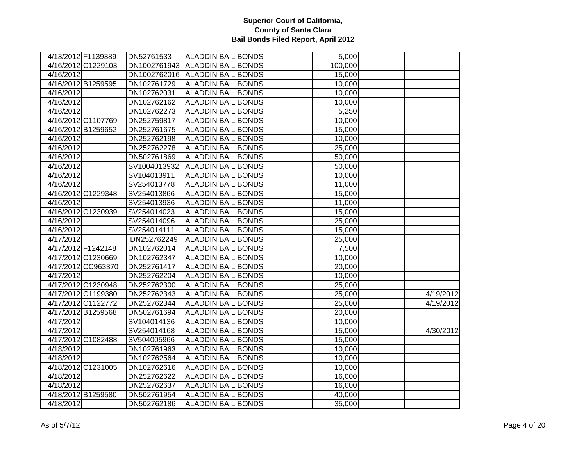|                    | 4/13/2012 F1139389 | DN52761533   | <b>ALADDIN BAIL BONDS</b>       | 5,000   |           |
|--------------------|--------------------|--------------|---------------------------------|---------|-----------|
|                    | 4/16/2012 C1229103 |              | DN1002761943 ALADDIN BAIL BONDS | 100,000 |           |
| 4/16/2012          |                    |              | DN1002762016 ALADDIN BAIL BONDS | 15,000  |           |
|                    | 4/16/2012 B1259595 | DN102761729  | <b>ALADDIN BAIL BONDS</b>       | 10,000  |           |
| 4/16/2012          |                    | DN102762031  | <b>ALADDIN BAIL BONDS</b>       | 10,000  |           |
| 4/16/2012          |                    | DN102762162  | <b>ALADDIN BAIL BONDS</b>       | 10,000  |           |
| 4/16/2012          |                    | DN102762273  | <b>ALADDIN BAIL BONDS</b>       | 5,250   |           |
|                    | 4/16/2012 C1107769 | DN252759817  | <b>ALADDIN BAIL BONDS</b>       | 10,000  |           |
|                    | 4/16/2012 B1259652 | DN252761675  | <b>ALADDIN BAIL BONDS</b>       | 15,000  |           |
| 4/16/2012          |                    | DN252762198  | <b>ALADDIN BAIL BONDS</b>       | 10,000  |           |
| 4/16/2012          |                    | DN252762278  | <b>ALADDIN BAIL BONDS</b>       | 25,000  |           |
| 4/16/2012          |                    | DN502761869  | <b>ALADDIN BAIL BONDS</b>       | 50,000  |           |
| 4/16/2012          |                    | SV1004013932 | <b>ALADDIN BAIL BONDS</b>       | 50,000  |           |
| 4/16/2012          |                    | SV104013911  | <b>ALADDIN BAIL BONDS</b>       | 10,000  |           |
| 4/16/2012          |                    | SV254013778  | <b>ALADDIN BAIL BONDS</b>       | 11,000  |           |
|                    | 4/16/2012 C1229348 | SV254013866  | <b>ALADDIN BAIL BONDS</b>       | 15,000  |           |
| 4/16/2012          |                    | SV254013936  | <b>ALADDIN BAIL BONDS</b>       | 11,000  |           |
|                    | 4/16/2012 C1230939 | SV254014023  | <b>ALADDIN BAIL BONDS</b>       | 15,000  |           |
| 4/16/2012          |                    | SV254014096  | <b>ALADDIN BAIL BONDS</b>       | 25,000  |           |
| 4/16/2012          |                    | SV254014111  | <b>ALADDIN BAIL BONDS</b>       | 15,000  |           |
| 4/17/2012          |                    | DN252762249  | <b>ALADDIN BAIL BONDS</b>       | 25,000  |           |
|                    | 4/17/2012 F1242148 | DN102762014  | <b>ALADDIN BAIL BONDS</b>       | 7,500   |           |
|                    | 4/17/2012 C1230669 | DN102762347  | <b>ALADDIN BAIL BONDS</b>       | 10,000  |           |
|                    | 4/17/2012 CC963370 | DN252761417  | <b>ALADDIN BAIL BONDS</b>       | 20,000  |           |
| 4/17/2012          |                    | DN252762204  | <b>ALADDIN BAIL BONDS</b>       | 10,000  |           |
|                    | 4/17/2012 C1230948 | DN252762300  | <b>ALADDIN BAIL BONDS</b>       | 25,000  |           |
|                    | 4/17/2012 C1199380 | DN252762343  | <b>ALADDIN BAIL BONDS</b>       | 25,000  | 4/19/2012 |
|                    | 4/17/2012 C1122772 | DN252762344  | <b>ALADDIN BAIL BONDS</b>       | 25,000  | 4/19/2012 |
|                    | 4/17/2012 B1259568 | DN502761694  | <b>ALADDIN BAIL BONDS</b>       | 20,000  |           |
| 4/17/2012          |                    | SV104014136  | <b>ALADDIN BAIL BONDS</b>       | 10,000  |           |
| 4/17/2012          |                    | SV254014168  | <b>ALADDIN BAIL BONDS</b>       | 15,000  | 4/30/2012 |
|                    | 4/17/2012 C1082488 | SV504005966  | <b>ALADDIN BAIL BONDS</b>       | 15,000  |           |
| $\sqrt{4/18/2012}$ |                    | DN102761963  | <b>ALADDIN BAIL BONDS</b>       | 10,000  |           |
| 4/18/2012          |                    | DN102762564  | <b>ALADDIN BAIL BONDS</b>       | 10,000  |           |
|                    | 4/18/2012 C1231005 | DN102762616  | <b>ALADDIN BAIL BONDS</b>       | 10,000  |           |
| 4/18/2012          |                    | DN252762622  | <b>ALADDIN BAIL BONDS</b>       | 16,000  |           |
| 4/18/2012          |                    | DN252762637  | <b>ALADDIN BAIL BONDS</b>       | 16,000  |           |
|                    | 4/18/2012 B1259580 | DN502761954  | <b>ALADDIN BAIL BONDS</b>       | 40,000  |           |
| 4/18/2012          |                    | DN502762186  | <b>ALADDIN BAIL BONDS</b>       | 35,000  |           |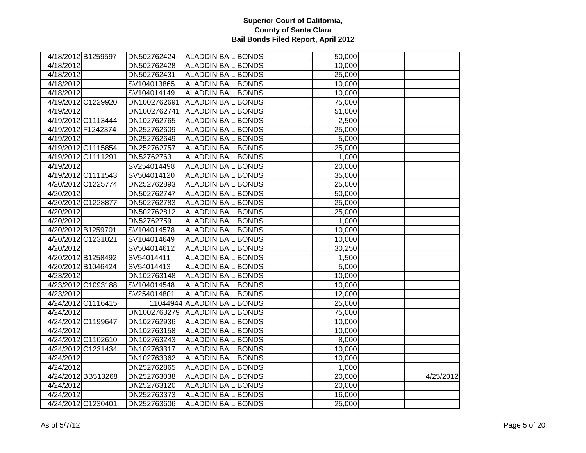|           | 4/18/2012 B1259597 | DN502762424  | <b>ALADDIN BAIL BONDS</b>       | 50,000 |           |
|-----------|--------------------|--------------|---------------------------------|--------|-----------|
| 4/18/2012 |                    | DN502762428  | <b>ALADDIN BAIL BONDS</b>       | 10,000 |           |
| 4/18/2012 |                    | DN502762431  | <b>ALADDIN BAIL BONDS</b>       | 25,000 |           |
| 4/18/2012 |                    | SV104013865  | <b>ALADDIN BAIL BONDS</b>       | 10,000 |           |
| 4/18/2012 |                    | SV104014149  | <b>ALADDIN BAIL BONDS</b>       | 10,000 |           |
|           | 4/19/2012 C1229920 | DN1002762691 | <b>ALADDIN BAIL BONDS</b>       | 75,000 |           |
| 4/19/2012 |                    | DN1002762741 | <b>ALADDIN BAIL BONDS</b>       | 51,000 |           |
|           | 4/19/2012 C1113444 | DN102762765  | <b>ALADDIN BAIL BONDS</b>       | 2,500  |           |
|           | 4/19/2012 F1242374 | DN252762609  | <b>ALADDIN BAIL BONDS</b>       | 25,000 |           |
| 4/19/2012 |                    | DN252762649  | <b>ALADDIN BAIL BONDS</b>       | 5,000  |           |
|           | 4/19/2012 C1115854 | DN252762757  | ALADDIN BAIL BONDS              | 25,000 |           |
|           | 4/19/2012 C1111291 | DN52762763   | <b>ALADDIN BAIL BONDS</b>       | 1,000  |           |
| 4/19/2012 |                    | SV254014498  | <b>ALADDIN BAIL BONDS</b>       | 20,000 |           |
|           | 4/19/2012 C1111543 | SV504014120  | <b>ALADDIN BAIL BONDS</b>       | 35,000 |           |
|           | 4/20/2012 C1225774 | DN252762893  | <b>ALADDIN BAIL BONDS</b>       | 25,000 |           |
| 4/20/2012 |                    | DN502762747  | <b>ALADDIN BAIL BONDS</b>       | 50,000 |           |
|           | 4/20/2012 C1228877 | DN502762783  | <b>ALADDIN BAIL BONDS</b>       | 25,000 |           |
| 4/20/2012 |                    | DN502762812  | <b>ALADDIN BAIL BONDS</b>       | 25,000 |           |
| 4/20/2012 |                    | DN52762759   | <b>ALADDIN BAIL BONDS</b>       | 1,000  |           |
|           | 4/20/2012 B1259701 | SV104014578  | <b>ALADDIN BAIL BONDS</b>       | 10,000 |           |
|           | 4/20/2012 C1231021 | SV104014649  | <b>ALADDIN BAIL BONDS</b>       | 10,000 |           |
| 4/20/2012 |                    | SV504014612  | <b>ALADDIN BAIL BONDS</b>       | 30,250 |           |
|           | 4/20/2012 B1258492 | SV54014411   | <b>ALADDIN BAIL BONDS</b>       | 1,500  |           |
|           | 4/20/2012 B1046424 | SV54014413   | <b>ALADDIN BAIL BONDS</b>       | 5,000  |           |
| 4/23/2012 |                    | DN102763148  | <b>ALADDIN BAIL BONDS</b>       | 10,000 |           |
|           | 4/23/2012 C1093188 | SV104014548  | <b>ALADDIN BAIL BONDS</b>       | 10,000 |           |
| 4/23/2012 |                    | SV254014801  | <b>ALADDIN BAIL BONDS</b>       | 12,000 |           |
|           | 4/24/2012 C1116415 |              | 11044944 ALADDIN BAIL BONDS     | 25,000 |           |
| 4/24/2012 |                    |              | DN1002763279 ALADDIN BAIL BONDS | 75,000 |           |
|           | 4/24/2012 C1199647 | DN102762936  | <b>ALADDIN BAIL BONDS</b>       | 10,000 |           |
| 4/24/2012 |                    | DN102763158  | <b>ALADDIN BAIL BONDS</b>       | 10,000 |           |
|           | 4/24/2012 C1102610 | DN102763243  | <b>ALADDIN BAIL BONDS</b>       | 8,000  |           |
|           | 4/24/2012 C1231434 | DN102763317  | <b>ALADDIN BAIL BONDS</b>       | 10,000 |           |
| 4/24/2012 |                    | DN102763362  | <b>ALADDIN BAIL BONDS</b>       | 10,000 |           |
| 4/24/2012 |                    | DN252762865  | <b>ALADDIN BAIL BONDS</b>       | 1,000  |           |
|           | 4/24/2012 BB513268 | DN252763038  | <b>ALADDIN BAIL BONDS</b>       | 20,000 | 4/25/2012 |
| 4/24/2012 |                    | DN252763120  | <b>ALADDIN BAIL BONDS</b>       | 20,000 |           |
| 4/24/2012 |                    | DN252763373  | <b>ALADDIN BAIL BONDS</b>       | 16,000 |           |
|           | 4/24/2012 C1230401 | DN252763606  | <b>ALADDIN BAIL BONDS</b>       | 25,000 |           |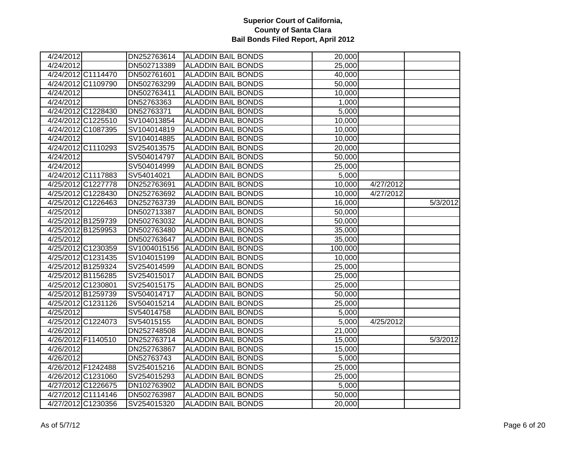| 4/24/2012           |                    | DN252763614  | <b>ALADDIN BAIL BONDS</b> | 20,000  |           |          |
|---------------------|--------------------|--------------|---------------------------|---------|-----------|----------|
| 4/24/2012           |                    | DN502713389  | <b>ALADDIN BAIL BONDS</b> | 25,000  |           |          |
|                     | 4/24/2012 C1114470 | DN502761601  | <b>ALADDIN BAIL BONDS</b> | 40,000  |           |          |
|                     | 4/24/2012 C1109790 | DN502763299  | <b>ALADDIN BAIL BONDS</b> | 50,000  |           |          |
| $\frac{4}{24/2012}$ |                    | DN502763411  | <b>ALADDIN BAIL BONDS</b> | 10,000  |           |          |
| 4/24/2012           |                    | DN52763363   | <b>ALADDIN BAIL BONDS</b> | 1,000   |           |          |
|                     | 4/24/2012 C1228430 | DN52763371   | <b>ALADDIN BAIL BONDS</b> | 5,000   |           |          |
|                     | 4/24/2012 C1225510 | SV104013854  | <b>ALADDIN BAIL BONDS</b> | 10,000  |           |          |
|                     | 4/24/2012 C1087395 | SV104014819  | <b>ALADDIN BAIL BONDS</b> | 10,000  |           |          |
| 4/24/2012           |                    | SV104014885  | <b>ALADDIN BAIL BONDS</b> | 10,000  |           |          |
|                     | 4/24/2012 C1110293 | SV254013575  | <b>ALADDIN BAIL BONDS</b> | 20,000  |           |          |
| 4/24/2012           |                    | SV504014797  | <b>ALADDIN BAIL BONDS</b> | 50,000  |           |          |
| 4/24/2012           |                    | SV504014999  | <b>ALADDIN BAIL BONDS</b> | 25,000  |           |          |
|                     | 4/24/2012 C1117883 | SV54014021   | <b>ALADDIN BAIL BONDS</b> | 5,000   |           |          |
|                     | 4/25/2012 C1227778 | DN252763691  | <b>ALADDIN BAIL BONDS</b> | 10,000  | 4/27/2012 |          |
|                     | 4/25/2012 C1228430 | DN252763692  | <b>ALADDIN BAIL BONDS</b> | 10,000  | 4/27/2012 |          |
|                     | 4/25/2012 C1226463 | DN252763739  | <b>ALADDIN BAIL BONDS</b> | 16,000  |           | 5/3/2012 |
| 4/25/2012           |                    | DN502713387  | <b>ALADDIN BAIL BONDS</b> | 50,000  |           |          |
|                     | 4/25/2012 B1259739 | DN502763032  | <b>ALADDIN BAIL BONDS</b> | 50,000  |           |          |
|                     | 4/25/2012 B1259953 | DN502763480  | <b>ALADDIN BAIL BONDS</b> | 35,000  |           |          |
| 4/25/2012           |                    | DN502763647  | <b>ALADDIN BAIL BONDS</b> | 35,000  |           |          |
|                     | 4/25/2012 C1230359 | SV1004015156 | <b>ALADDIN BAIL BONDS</b> | 100,000 |           |          |
|                     | 4/25/2012 C1231435 | SV104015199  | <b>ALADDIN BAIL BONDS</b> | 10,000  |           |          |
|                     | 4/25/2012 B1259324 | SV254014599  | <b>ALADDIN BAIL BONDS</b> | 25,000  |           |          |
|                     | 4/25/2012 B1156285 | SV254015017  | <b>ALADDIN BAIL BONDS</b> | 25,000  |           |          |
|                     | 4/25/2012 C1230801 | SV254015175  | <b>ALADDIN BAIL BONDS</b> | 25,000  |           |          |
|                     | 4/25/2012 B1259739 | SV504014717  | <b>ALADDIN BAIL BONDS</b> | 50,000  |           |          |
|                     | 4/25/2012 C1231126 | SV504015214  | <b>ALADDIN BAIL BONDS</b> | 25,000  |           |          |
| 4/25/2012           |                    | SV54014758   | <b>ALADDIN BAIL BONDS</b> | 5,000   |           |          |
|                     | 4/25/2012 C1224073 | SV54015155   | <b>ALADDIN BAIL BONDS</b> | 5,000   | 4/25/2012 |          |
| 4/26/2012           |                    | DN252748508  | <b>ALADDIN BAIL BONDS</b> | 21,000  |           |          |
|                     | 4/26/2012 F1140510 | DN252763714  | <b>ALADDIN BAIL BONDS</b> | 15,000  |           | 5/3/2012 |
| 4/26/2012           |                    | DN252763867  | <b>ALADDIN BAIL BONDS</b> | 15,000  |           |          |
| 4/26/2012           |                    | DN52763743   | <b>ALADDIN BAIL BONDS</b> | 5,000   |           |          |
|                     | 4/26/2012 F1242488 | SV254015216  | <b>ALADDIN BAIL BONDS</b> | 25,000  |           |          |
|                     | 4/26/2012 C1231060 | SV254015293  | <b>ALADDIN BAIL BONDS</b> | 25,000  |           |          |
|                     | 4/27/2012 C1226675 | DN102763902  | <b>ALADDIN BAIL BONDS</b> | 5,000   |           |          |
|                     | 4/27/2012 C1114146 | DN502763987  | <b>ALADDIN BAIL BONDS</b> | 50,000  |           |          |
|                     | 4/27/2012 C1230356 | SV254015320  | <b>ALADDIN BAIL BONDS</b> | 20,000  |           |          |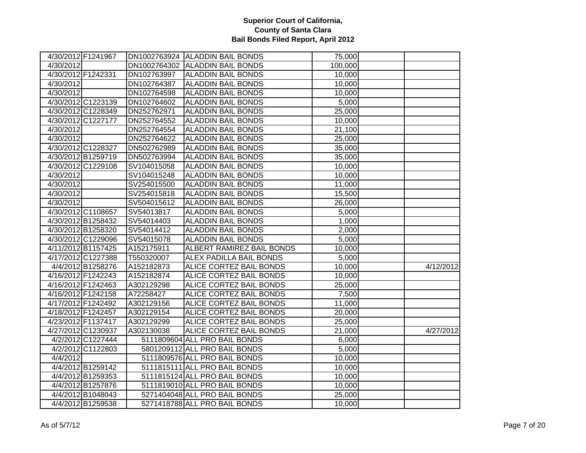| 4/30/2012 F1241967 |                    |             | DN1002763924 ALADDIN BAIL BONDS | 75,000  |           |
|--------------------|--------------------|-------------|---------------------------------|---------|-----------|
| 4/30/2012          |                    |             | DN1002764302 ALADDIN BAIL BONDS | 100,000 |           |
| 4/30/2012 F1242331 |                    | DN102763997 | <b>ALADDIN BAIL BONDS</b>       | 10,000  |           |
| 4/30/2012          |                    | DN102764387 | <b>ALADDIN BAIL BONDS</b>       | 10,000  |           |
| 4/30/2012          |                    | DN102764598 | <b>ALADDIN BAIL BONDS</b>       | 10,000  |           |
|                    | 4/30/2012 C1223139 | DN102764602 | <b>ALADDIN BAIL BONDS</b>       | 5,000   |           |
|                    | 4/30/2012 C1228349 | DN252762971 | <b>ALADDIN BAIL BONDS</b>       | 25,000  |           |
|                    | 4/30/2012 C1227177 | DN252764552 | <b>ALADDIN BAIL BONDS</b>       | 10,000  |           |
| 4/30/2012          |                    | DN252764554 | <b>ALADDIN BAIL BONDS</b>       | 21,100  |           |
| 4/30/2012          |                    | DN252764622 | <b>ALADDIN BAIL BONDS</b>       | 25,000  |           |
|                    | 4/30/2012 C1228327 | DN502762989 | <b>ALADDIN BAIL BONDS</b>       | 35,000  |           |
|                    | 4/30/2012 B1259719 | DN502763994 | <b>ALADDIN BAIL BONDS</b>       | 35,000  |           |
|                    | 4/30/2012 C1229108 | SV104015058 | <b>ALADDIN BAIL BONDS</b>       | 10,000  |           |
| 4/30/2012          |                    | SV104015248 | <b>ALADDIN BAIL BONDS</b>       | 10,000  |           |
| 4/30/2012          |                    | SV254015500 | <b>ALADDIN BAIL BONDS</b>       | 11,000  |           |
| 4/30/2012          |                    | SV254015818 | <b>ALADDIN BAIL BONDS</b>       | 15,500  |           |
| 4/30/2012          |                    | SV504015612 | <b>ALADDIN BAIL BONDS</b>       | 26,000  |           |
|                    | 4/30/2012 C1108657 | SV54013817  | <b>ALADDIN BAIL BONDS</b>       | 5,000   |           |
|                    | 4/30/2012 B1258432 | SV54014403  | <b>ALADDIN BAIL BONDS</b>       | 1,000   |           |
|                    | 4/30/2012 B1258320 | SV54014412  | <b>ALADDIN BAIL BONDS</b>       | 2,000   |           |
|                    | 4/30/2012 C1229096 | SV54015078  | <b>ALADDIN BAIL BONDS</b>       | 5,000   |           |
|                    | 4/11/2012 B1157425 | A152175911  | ALBERT RAMIREZ BAIL BONDS       | 10,000  |           |
|                    | 4/17/2012 C1227388 | T550320007  | <b>ALEX PADILLA BAIL BONDS</b>  | 5,000   |           |
|                    | 4/4/2012 B1258276  | A152182873  | ALICE CORTEZ BAIL BONDS         | 10,000  | 4/12/2012 |
|                    | 4/16/2012 F1242243 | A152182874  | ALICE CORTEZ BAIL BONDS         | 10,000  |           |
| 4/16/2012 F1242463 |                    | A302129298  | ALICE CORTEZ BAIL BONDS         | 25,000  |           |
|                    | 4/16/2012 F1242158 | A72258427   | <b>ALICE CORTEZ BAIL BONDS</b>  | 7,500   |           |
| 4/17/2012 F1242492 |                    | A302129156  | <b>ALICE CORTEZ BAIL BONDS</b>  | 11,000  |           |
| 4/18/2012 F1242457 |                    | A302129154  | <b>ALICE CORTEZ BAIL BONDS</b>  | 20,000  |           |
| 4/23/2012 F1137417 |                    | A302129299  | <b>ALICE CORTEZ BAIL BONDS</b>  | 25,000  |           |
|                    | 4/27/2012 C1230937 | A302130038  | <b>ALICE CORTEZ BAIL BONDS</b>  | 21,000  | 4/27/2012 |
|                    | 4/2/2012 C1227444  |             | 5111809604 ALL PRO BAIL BONDS   | 6,000   |           |
|                    | 4/2/2012 C1122803  |             | 5801209112 ALL PRO BAIL BONDS   | 5,000   |           |
| 4/4/2012           |                    |             | 5111809576 ALL PRO BAIL BONDS   | 10,000  |           |
|                    | 4/4/2012 B1259142  |             | 5111815111 ALL PRO BAIL BONDS   | 10,000  |           |
|                    | 4/4/2012 B1259353  |             | 5111815124 ALL PRO BAIL BONDS   | 10,000  |           |
|                    | 4/4/2012 B1257876  |             | 5111819010 ALL PRO BAIL BONDS   | 10,000  |           |
|                    | 4/4/2012 B1048043  |             | 5271404048 ALL PRO BAIL BONDS   | 25,000  |           |
|                    | 4/4/2012 B1259538  |             | 5271418788 ALL PRO BAIL BONDS   | 10,000  |           |
|                    |                    |             |                                 |         |           |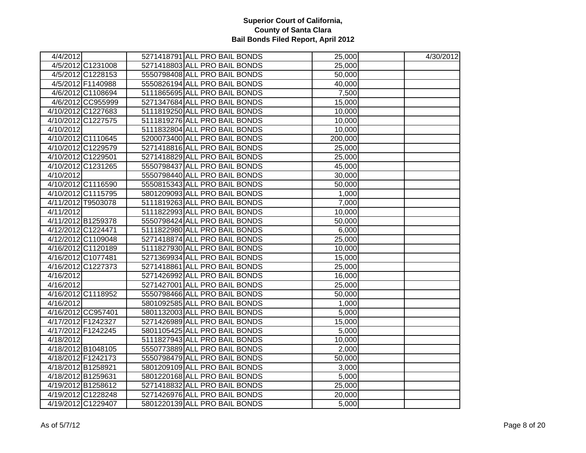| 4/4/2012           |                    | 5271418791 ALL PRO BAIL BONDS | 25,000  | 4/30/2012 |
|--------------------|--------------------|-------------------------------|---------|-----------|
|                    | 4/5/2012 C1231008  | 5271418803 ALL PRO BAIL BONDS | 25,000  |           |
|                    | 4/5/2012 C1228153  | 5550798408 ALL PRO BAIL BONDS | 50,000  |           |
|                    | 4/5/2012 F1140988  | 5550826194 ALL PRO BAIL BONDS | 40,000  |           |
|                    | 4/6/2012 C1108694  | 5111865695 ALL PRO BAIL BONDS | 7,500   |           |
|                    | 4/6/2012 CC955999  | 5271347684 ALL PRO BAIL BONDS | 15,000  |           |
|                    | 4/10/2012 C1227683 | 5111819250 ALL PRO BAIL BONDS | 10,000  |           |
|                    | 4/10/2012 C1227575 | 5111819276 ALL PRO BAIL BONDS | 10,000  |           |
| 4/10/2012          |                    | 5111832804 ALL PRO BAIL BONDS | 10,000  |           |
|                    | 4/10/2012 C1110645 | 5200073400 ALL PRO BAIL BONDS | 200,000 |           |
|                    | 4/10/2012 C1229579 | 5271418816 ALL PRO BAIL BONDS | 25,000  |           |
|                    | 4/10/2012 C1229501 | 5271418829 ALL PRO BAIL BONDS | 25,000  |           |
|                    | 4/10/2012 C1231265 | 5550798437 ALL PRO BAIL BONDS | 45,000  |           |
| 4/10/2012          |                    | 5550798440 ALL PRO BAIL BONDS | 30,000  |           |
|                    | 4/10/2012 C1116590 | 5550815343 ALL PRO BAIL BONDS | 50,000  |           |
|                    | 4/10/2012 C1115795 | 5801209093 ALL PRO BAIL BONDS | 1,000   |           |
|                    | 4/11/2012 T9503078 | 5111819263 ALL PRO BAIL BONDS | 7,000   |           |
| 4/11/2012          |                    | 5111822993 ALL PRO BAIL BONDS | 10,000  |           |
|                    | 4/11/2012 B1259378 | 5550798424 ALL PRO BAIL BONDS | 50,000  |           |
|                    | 4/12/2012 C1224471 | 5111822980 ALL PRO BAIL BONDS | 6,000   |           |
|                    | 4/12/2012 C1109048 | 5271418874 ALL PRO BAIL BONDS | 25,000  |           |
|                    | 4/16/2012 C1120189 | 5111827930 ALL PRO BAIL BONDS | 10,000  |           |
| 4/16/2012 C1077481 |                    | 5271369934 ALL PRO BAIL BONDS | 15,000  |           |
|                    | 4/16/2012 C1227373 | 5271418861 ALL PRO BAIL BONDS | 25,000  |           |
| 4/16/2012          |                    | 5271426992 ALL PRO BAIL BONDS | 16,000  |           |
| 4/16/2012          |                    | 5271427001 ALL PRO BAIL BONDS | 25,000  |           |
|                    | 4/16/2012 C1118952 | 5550798466 ALL PRO BAIL BONDS | 50,000  |           |
| 4/16/2012          |                    | 5801092585 ALL PRO BAIL BONDS | 1,000   |           |
|                    | 4/16/2012 CC957401 | 5801132003 ALL PRO BAIL BONDS | 5,000   |           |
| 4/17/2012 F1242327 |                    | 5271426989 ALL PRO BAIL BONDS | 15,000  |           |
| 4/17/2012 F1242245 |                    | 5801105425 ALL PRO BAIL BONDS | 5,000   |           |
| 4/18/2012          |                    | 5111827943 ALL PRO BAIL BONDS | 10,000  |           |
|                    | 4/18/2012 B1048105 | 5550773889 ALL PRO BAIL BONDS | 2,000   |           |
|                    | 4/18/2012 F1242173 | 5550798479 ALL PRO BAIL BONDS | 50,000  |           |
| 4/18/2012 B1258921 |                    | 5801209109 ALL PRO BAIL BONDS | 3,000   |           |
| 4/18/2012 B1259631 |                    | 5801220168 ALL PRO BAIL BONDS | 5,000   |           |
|                    | 4/19/2012 B1258612 | 5271418832 ALL PRO BAIL BONDS | 25,000  |           |
|                    | 4/19/2012 C1228248 | 5271426976 ALL PRO BAIL BONDS | 20,000  |           |
|                    | 4/19/2012 C1229407 | 5801220139 ALL PRO BAIL BONDS | 5,000   |           |
|                    |                    |                               |         |           |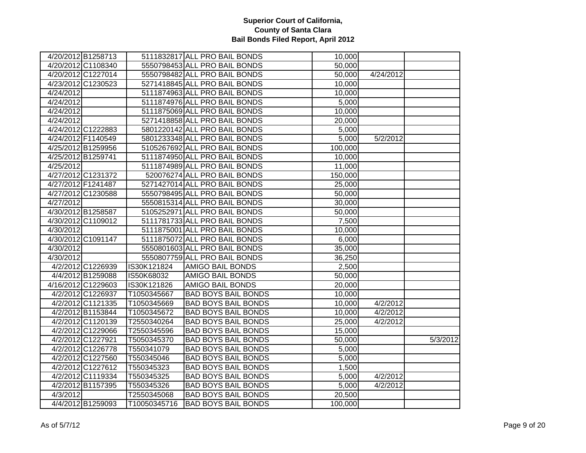|           | 4/20/2012 B1258713 |              | 5111832817 ALL PRO BAIL BONDS | 10,000  |           |          |
|-----------|--------------------|--------------|-------------------------------|---------|-----------|----------|
|           | 4/20/2012 C1108340 |              | 5550798453 ALL PRO BAIL BONDS | 50,000  |           |          |
|           | 4/20/2012 C1227014 |              | 5550798482 ALL PRO BAIL BONDS | 50,000  | 4/24/2012 |          |
|           | 4/23/2012 C1230523 |              | 5271418845 ALL PRO BAIL BONDS | 10,000  |           |          |
| 4/24/2012 |                    |              | 5111874963 ALL PRO BAIL BONDS | 10,000  |           |          |
| 4/24/2012 |                    |              | 5111874976 ALL PRO BAIL BONDS | 5,000   |           |          |
| 4/24/2012 |                    |              | 5111875069 ALL PRO BAIL BONDS | 10,000  |           |          |
| 4/24/2012 |                    |              | 5271418858 ALL PRO BAIL BONDS | 20,000  |           |          |
|           | 4/24/2012 C1222883 |              | 5801220142 ALL PRO BAIL BONDS | 5,000   |           |          |
|           | 4/24/2012 F1140549 |              | 5801233348 ALL PRO BAIL BONDS | 5,000   | 5/2/2012  |          |
|           | 4/25/2012 B1259956 |              | 5105267692 ALL PRO BAIL BONDS | 100,000 |           |          |
|           | 4/25/2012 B1259741 |              | 5111874950 ALL PRO BAIL BONDS | 10,000  |           |          |
| 4/25/2012 |                    |              | 5111874989 ALL PRO BAIL BONDS | 11,000  |           |          |
|           | 4/27/2012 C1231372 |              | 520076274 ALL PRO BAIL BONDS  | 150,000 |           |          |
|           | 4/27/2012 F1241487 |              | 5271427014 ALL PRO BAIL BONDS | 25,000  |           |          |
|           | 4/27/2012 C1230588 |              | 5550798495 ALL PRO BAIL BONDS | 50,000  |           |          |
| 4/27/2012 |                    |              | 5550815314 ALL PRO BAIL BONDS | 30,000  |           |          |
|           | 4/30/2012 B1258587 |              | 5105252971 ALL PRO BAIL BONDS | 50,000  |           |          |
|           | 4/30/2012 C1109012 |              | 5111781733 ALL PRO BAIL BONDS | 7,500   |           |          |
| 4/30/2012 |                    |              | 5111875001 ALL PRO BAIL BONDS | 10,000  |           |          |
|           | 4/30/2012 C1091147 |              | 5111875072 ALL PRO BAIL BONDS | 6,000   |           |          |
| 4/30/2012 |                    |              | 5550801603 ALL PRO BAIL BONDS | 35,000  |           |          |
| 4/30/2012 |                    |              | 5550807759 ALL PRO BAIL BONDS | 36,250  |           |          |
|           | 4/2/2012 C1226939  | IS30K121824  | <b>AMIGO BAIL BONDS</b>       | 2,500   |           |          |
|           | 4/4/2012 B1259088  | IS50K68032   | <b>AMIGO BAIL BONDS</b>       | 50,000  |           |          |
|           | 4/16/2012 C1229603 | IS30K121826  | <b>AMIGO BAIL BONDS</b>       | 20,000  |           |          |
|           | 4/2/2012 C1226937  | T1050345667  | <b>BAD BOYS BAIL BONDS</b>    | 10,000  |           |          |
|           | 4/2/2012 C1121335  | T1050345669  | <b>BAD BOYS BAIL BONDS</b>    | 10,000  | 4/2/2012  |          |
|           | 4/2/2012 B1153844  | T1050345672  | <b>BAD BOYS BAIL BONDS</b>    | 10,000  | 4/2/2012  |          |
|           | 4/2/2012 C1120139  | T2550340264  | <b>BAD BOYS BAIL BONDS</b>    | 25,000  | 4/2/2012  |          |
|           | 4/2/2012 C1229066  | T2550345596  | <b>BAD BOYS BAIL BONDS</b>    | 15,000  |           |          |
|           | 4/2/2012 C1227921  | T5050345370  | <b>BAD BOYS BAIL BONDS</b>    | 50,000  |           | 5/3/2012 |
|           | 4/2/2012 C1226778  | T550341079   | <b>BAD BOYS BAIL BONDS</b>    | 5,000   |           |          |
|           | 4/2/2012 C1227560  | T550345046   | <b>BAD BOYS BAIL BONDS</b>    | 5,000   |           |          |
|           | 4/2/2012 C1227612  | T550345323   | <b>BAD BOYS BAIL BONDS</b>    | 1,500   |           |          |
|           | 4/2/2012 C1119334  | T550345325   | <b>BAD BOYS BAIL BONDS</b>    | 5,000   | 4/2/2012  |          |
|           | 4/2/2012 B1157395  | T550345326   | <b>BAD BOYS BAIL BONDS</b>    | 5,000   | 4/2/2012  |          |
| 4/3/2012  |                    | T2550345068  | <b>BAD BOYS BAIL BONDS</b>    | 20,500  |           |          |
|           | 4/4/2012 B1259093  | T10050345716 | <b>BAD BOYS BAIL BONDS</b>    | 100,000 |           |          |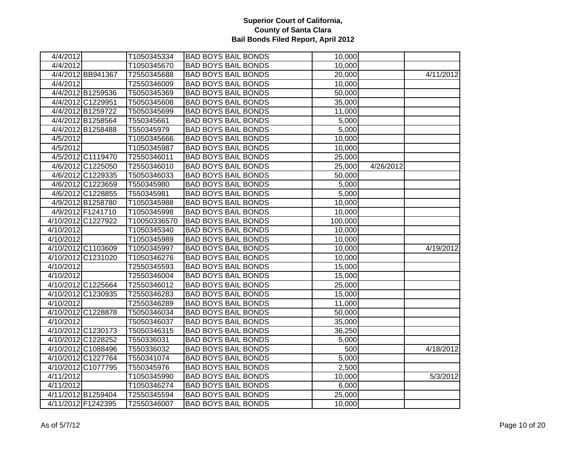| 4/4/2012  |                    | T1050345334  | <b>BAD BOYS BAIL BONDS</b> | 10,000  |           |           |
|-----------|--------------------|--------------|----------------------------|---------|-----------|-----------|
| 4/4/2012  |                    | T1050345670  | <b>BAD BOYS BAIL BONDS</b> | 10,000  |           |           |
|           | 4/4/2012 BB941367  | T2550345688  | <b>BAD BOYS BAIL BONDS</b> | 20,000  |           | 4/11/2012 |
| 4/4/2012  |                    | T2550346009  | <b>BAD BOYS BAIL BONDS</b> | 10,000  |           |           |
|           | 4/4/2012 B1259536  | T5050345369  | <b>BAD BOYS BAIL BONDS</b> | 50,000  |           |           |
|           | 4/4/2012 C1229951  | T5050345608  | <b>BAD BOYS BAIL BONDS</b> | 35,000  |           |           |
|           | 4/4/2012 B1259722  | T5050345699  | <b>BAD BOYS BAIL BONDS</b> | 11,000  |           |           |
|           | 4/4/2012 B1258564  | T550345661   | <b>BAD BOYS BAIL BONDS</b> | 5,000   |           |           |
|           | 4/4/2012 B1258488  | T550345979   | <b>BAD BOYS BAIL BONDS</b> | 5,000   |           |           |
| 4/5/2012  |                    | T1050345666  | <b>BAD BOYS BAIL BONDS</b> | 10,000  |           |           |
| 4/5/2012  |                    | T1050345987  | <b>BAD BOYS BAIL BONDS</b> | 10,000  |           |           |
|           | 4/5/2012 C1119470  | T2550346011  | <b>BAD BOYS BAIL BONDS</b> | 25,000  |           |           |
|           | 4/6/2012 C1225050  | T2550346010  | <b>BAD BOYS BAIL BONDS</b> | 25,000  | 4/26/2012 |           |
|           | 4/6/2012 C1229335  | T5050346033  | <b>BAD BOYS BAIL BONDS</b> | 50,000  |           |           |
|           | 4/6/2012 C1223659  | T550345980   | <b>BAD BOYS BAIL BONDS</b> | 5,000   |           |           |
|           | 4/6/2012 C1228855  | T550345981   | <b>BAD BOYS BAIL BONDS</b> | 5,000   |           |           |
|           | 4/9/2012 B1258780  | T1050345988  | <b>BAD BOYS BAIL BONDS</b> | 10,000  |           |           |
|           | 4/9/2012 F1241710  | T1050345998  | <b>BAD BOYS BAIL BONDS</b> | 10,000  |           |           |
|           | 4/10/2012 C1227922 | T10050336570 | <b>BAD BOYS BAIL BONDS</b> | 100,000 |           |           |
| 4/10/2012 |                    | T1050345340  | <b>BAD BOYS BAIL BONDS</b> | 10,000  |           |           |
| 4/10/2012 |                    | T1050345989  | <b>BAD BOYS BAIL BONDS</b> | 10,000  |           |           |
|           | 4/10/2012 C1103609 | T1050345997  | <b>BAD BOYS BAIL BONDS</b> | 10,000  |           | 4/19/2012 |
|           | 4/10/2012 C1231020 | T1050346276  | <b>BAD BOYS BAIL BONDS</b> | 10,000  |           |           |
| 4/10/2012 |                    | T2550345593  | <b>BAD BOYS BAIL BONDS</b> | 15,000  |           |           |
| 4/10/2012 |                    | T2550346004  | <b>BAD BOYS BAIL BONDS</b> | 15,000  |           |           |
|           | 4/10/2012 C1225664 | T2550346012  | <b>BAD BOYS BAIL BONDS</b> | 25,000  |           |           |
|           | 4/10/2012 C1230935 | T2550346283  | <b>BAD BOYS BAIL BONDS</b> | 15,000  |           |           |
| 4/10/2012 |                    | T2550346289  | <b>BAD BOYS BAIL BONDS</b> | 11,000  |           |           |
|           | 4/10/2012 C1228878 | T5050346034  | <b>BAD BOYS BAIL BONDS</b> | 50,000  |           |           |
| 4/10/2012 |                    | T5050346037  | <b>BAD BOYS BAIL BONDS</b> | 35,000  |           |           |
|           | 4/10/2012 C1230173 | T5050346315  | <b>BAD BOYS BAIL BONDS</b> | 36,250  |           |           |
|           | 4/10/2012 C1228252 | T550336031   | <b>BAD BOYS BAIL BONDS</b> | 5,000   |           |           |
|           | 4/10/2012 C1088496 | T550336032   | <b>BAD BOYS BAIL BONDS</b> | 500     |           | 4/18/2012 |
|           | 4/10/2012 C1227764 | T550341074   | <b>BAD BOYS BAIL BONDS</b> | 5,000   |           |           |
|           | 4/10/2012 C1077795 | T550345976   | <b>BAD BOYS BAIL BONDS</b> | 2,500   |           |           |
| 4/11/2012 |                    | T1050345990  | <b>BAD BOYS BAIL BONDS</b> | 10,000  |           | 5/3/2012  |
| 4/11/2012 |                    | T1050346274  | <b>BAD BOYS BAIL BONDS</b> | 6,000   |           |           |
|           | 4/11/2012 B1259404 | T2550345594  | <b>BAD BOYS BAIL BONDS</b> | 25,000  |           |           |
|           | 4/11/2012 F1242395 | T2550346007  | <b>BAD BOYS BAIL BONDS</b> | 10,000  |           |           |
|           |                    |              |                            |         |           |           |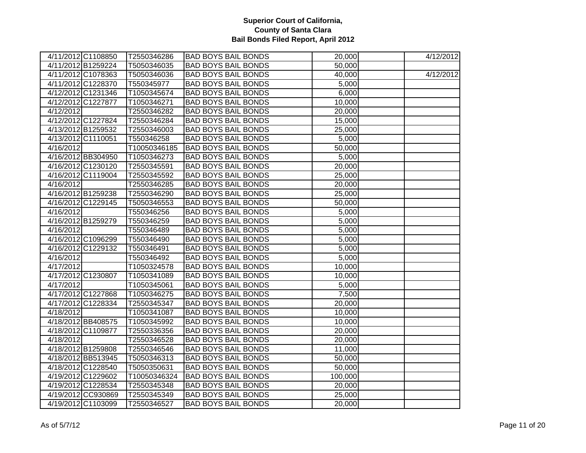| 4/11/2012 C1108850 | T2550346286  | <b>BAD BOYS BAIL BONDS</b> | 20,000  | 4/12/2012 |
|--------------------|--------------|----------------------------|---------|-----------|
| 4/11/2012 B1259224 | T5050346035  | <b>BAD BOYS BAIL BONDS</b> | 50,000  |           |
| 4/11/2012 C1078363 | T5050346036  | <b>BAD BOYS BAIL BONDS</b> | 40,000  | 4/12/2012 |
| 4/11/2012 C1228370 | T550345977   | <b>BAD BOYS BAIL BONDS</b> | 5,000   |           |
| 4/12/2012 C1231346 | T1050345674  | <b>BAD BOYS BAIL BONDS</b> | 6,000   |           |
| 4/12/2012 C1227877 | T1050346271  | <b>BAD BOYS BAIL BONDS</b> | 10,000  |           |
| 4/12/2012          | T2550346282  | <b>BAD BOYS BAIL BONDS</b> | 20,000  |           |
| 4/12/2012 C1227824 | T2550346284  | <b>BAD BOYS BAIL BONDS</b> | 15,000  |           |
| 4/13/2012 B1259532 | T2550346003  | <b>BAD BOYS BAIL BONDS</b> | 25,000  |           |
| 4/13/2012 C1110051 | T550346258   | <b>BAD BOYS BAIL BONDS</b> | 5,000   |           |
| 4/16/2012          | T10050346185 | <b>BAD BOYS BAIL BONDS</b> | 50,000  |           |
| 4/16/2012 BB304950 | T1050346273  | <b>BAD BOYS BAIL BONDS</b> | 5,000   |           |
| 4/16/2012 C1230120 | T2550345591  | <b>BAD BOYS BAIL BONDS</b> | 20,000  |           |
| 4/16/2012 C1119004 | T2550345592  | <b>BAD BOYS BAIL BONDS</b> | 25,000  |           |
| 4/16/2012          | T2550346285  | <b>BAD BOYS BAIL BONDS</b> | 20,000  |           |
| 4/16/2012 B1259238 | T2550346290  | <b>BAD BOYS BAIL BONDS</b> | 25,000  |           |
| 4/16/2012 C1229145 | T5050346553  | <b>BAD BOYS BAIL BONDS</b> | 50,000  |           |
| 4/16/2012          | T550346256   | <b>BAD BOYS BAIL BONDS</b> | 5,000   |           |
| 4/16/2012 B1259279 | T550346259   | <b>BAD BOYS BAIL BONDS</b> | 5,000   |           |
| 4/16/2012          | T550346489   | <b>BAD BOYS BAIL BONDS</b> | 5,000   |           |
| 4/16/2012 C1096299 | T550346490   | <b>BAD BOYS BAIL BONDS</b> | 5,000   |           |
| 4/16/2012 C1229132 | T550346491   | <b>BAD BOYS BAIL BONDS</b> | 5,000   |           |
| 4/16/2012          | T550346492   | <b>BAD BOYS BAIL BONDS</b> | 5,000   |           |
| 4/17/2012          | T1050324578  | <b>BAD BOYS BAIL BONDS</b> | 10,000  |           |
| 4/17/2012 C1230807 | T1050341089  | <b>BAD BOYS BAIL BONDS</b> | 10,000  |           |
| 4/17/2012          | T1050345061  | <b>BAD BOYS BAIL BONDS</b> | 5,000   |           |
| 4/17/2012 C1227868 | T1050346275  | <b>BAD BOYS BAIL BONDS</b> | 7,500   |           |
| 4/17/2012 C1228334 | T2550345347  | <b>BAD BOYS BAIL BONDS</b> | 20,000  |           |
| 4/18/2012          | T1050341087  | <b>BAD BOYS BAIL BONDS</b> | 10,000  |           |
| 4/18/2012 BB408575 | T1050345992  | <b>BAD BOYS BAIL BONDS</b> | 10,000  |           |
| 4/18/2012 C1109877 | T2550336356  | <b>BAD BOYS BAIL BONDS</b> | 20,000  |           |
| 4/18/2012          | T2550346528  | <b>BAD BOYS BAIL BONDS</b> | 20,000  |           |
| 4/18/2012 B1259808 | T2550346546  | <b>BAD BOYS BAIL BONDS</b> | 11,000  |           |
| 4/18/2012 BB513945 | T5050346313  | <b>BAD BOYS BAIL BONDS</b> | 50,000  |           |
| 4/18/2012 C1228540 | T5050350631  | <b>BAD BOYS BAIL BONDS</b> | 50,000  |           |
| 4/19/2012 C1229602 | T10050346324 | <b>BAD BOYS BAIL BONDS</b> | 100,000 |           |
| 4/19/2012 C1228534 | T2550345348  | <b>BAD BOYS BAIL BONDS</b> | 20,000  |           |
| 4/19/2012 CC930869 | T2550345349  | <b>BAD BOYS BAIL BONDS</b> | 25,000  |           |
| 4/19/2012 C1103099 | T2550346527  | <b>BAD BOYS BAIL BONDS</b> | 20,000  |           |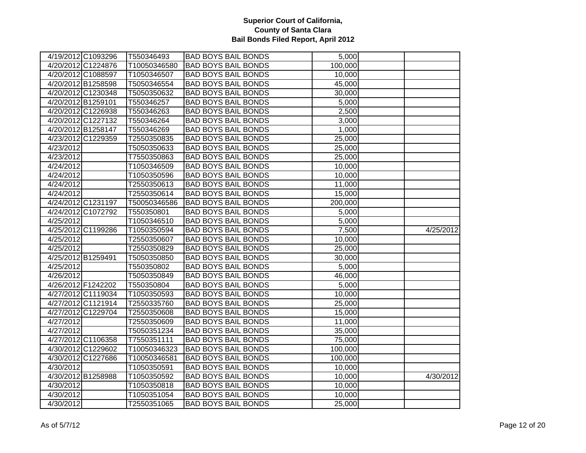| 4/19/2012 C1093296 | T550346493   | <b>BAD BOYS BAIL BONDS</b> | 5,000   |           |
|--------------------|--------------|----------------------------|---------|-----------|
| 4/20/2012 C1224876 | T10050346580 | <b>BAD BOYS BAIL BONDS</b> | 100,000 |           |
| 4/20/2012 C1088597 | T1050346507  | <b>BAD BOYS BAIL BONDS</b> | 10,000  |           |
| 4/20/2012 B1258598 | T5050346554  | <b>BAD BOYS BAIL BONDS</b> | 45,000  |           |
| 4/20/2012 C1230348 | T5050350632  | <b>BAD BOYS BAIL BONDS</b> | 30,000  |           |
| 4/20/2012 B1259101 | T550346257   | <b>BAD BOYS BAIL BONDS</b> | 5,000   |           |
| 4/20/2012 C1226938 | T550346263   | <b>BAD BOYS BAIL BONDS</b> | 2,500   |           |
| 4/20/2012 C1227132 | T550346264   | <b>BAD BOYS BAIL BONDS</b> | 3,000   |           |
| 4/20/2012 B1258147 | T550346269   | <b>BAD BOYS BAIL BONDS</b> | 1,000   |           |
| 4/23/2012 C1229359 | T2550350835  | <b>BAD BOYS BAIL BONDS</b> | 25,000  |           |
| 4/23/2012          | T5050350633  | <b>BAD BOYS BAIL BONDS</b> | 25,000  |           |
| 4/23/2012          | T7550350863  | <b>BAD BOYS BAIL BONDS</b> | 25,000  |           |
| 4/24/2012          | T1050346509  | <b>BAD BOYS BAIL BONDS</b> | 10,000  |           |
| 4/24/2012          | T1050350596  | <b>BAD BOYS BAIL BONDS</b> | 10,000  |           |
| 4/24/2012          | T2550350613  | <b>BAD BOYS BAIL BONDS</b> | 11,000  |           |
| 4/24/2012          | T2550350614  | <b>BAD BOYS BAIL BONDS</b> | 15,000  |           |
| 4/24/2012 C1231197 | T50050346586 | <b>BAD BOYS BAIL BONDS</b> | 200,000 |           |
| 4/24/2012 C1072792 | T550350801   | <b>BAD BOYS BAIL BONDS</b> | 5,000   |           |
| 4/25/2012          | T1050346510  | <b>BAD BOYS BAIL BONDS</b> | 5,000   |           |
| 4/25/2012 C1199286 | T1050350594  | <b>BAD BOYS BAIL BONDS</b> | 7,500   | 4/25/2012 |
| 4/25/2012          | T2550350607  | <b>BAD BOYS BAIL BONDS</b> | 10,000  |           |
| 4/25/2012          | T2550350829  | <b>BAD BOYS BAIL BONDS</b> | 25,000  |           |
| 4/25/2012 B1259491 | T5050350850  | <b>BAD BOYS BAIL BONDS</b> | 30,000  |           |
| 4/25/2012          | T550350802   | <b>BAD BOYS BAIL BONDS</b> | 5,000   |           |
| 4/26/2012          | T5050350849  | <b>BAD BOYS BAIL BONDS</b> | 46,000  |           |
| 4/26/2012 F1242202 | T550350804   | <b>BAD BOYS BAIL BONDS</b> | 5,000   |           |
| 4/27/2012 C1119034 | T1050350593  | <b>BAD BOYS BAIL BONDS</b> | 10,000  |           |
| 4/27/2012 C1121914 | T2550335760  | <b>BAD BOYS BAIL BONDS</b> | 25,000  |           |
| 4/27/2012 C1229704 | T2550350608  | <b>BAD BOYS BAIL BONDS</b> | 15,000  |           |
| 4/27/2012          | T2550350609  | <b>BAD BOYS BAIL BONDS</b> | 11,000  |           |
| 4/27/2012          | T5050351234  | <b>BAD BOYS BAIL BONDS</b> | 35,000  |           |
| 4/27/2012 C1106358 | T7550351111  | <b>BAD BOYS BAIL BONDS</b> | 75,000  |           |
| 4/30/2012 C1229602 | T10050346323 | <b>BAD BOYS BAIL BONDS</b> | 100,000 |           |
| 4/30/2012 C1227686 | T10050346581 | <b>BAD BOYS BAIL BONDS</b> | 100,000 |           |
| 4/30/2012          | T1050350591  | <b>BAD BOYS BAIL BONDS</b> | 10,000  |           |
| 4/30/2012 B1258988 | T1050350592  | <b>BAD BOYS BAIL BONDS</b> | 10,000  | 4/30/2012 |
| 4/30/2012          | T1050350818  | <b>BAD BOYS BAIL BONDS</b> | 10,000  |           |
| 4/30/2012          | T1050351054  | <b>BAD BOYS BAIL BONDS</b> | 10,000  |           |
| 4/30/2012          | T2550351065  | <b>BAD BOYS BAIL BONDS</b> | 25,000  |           |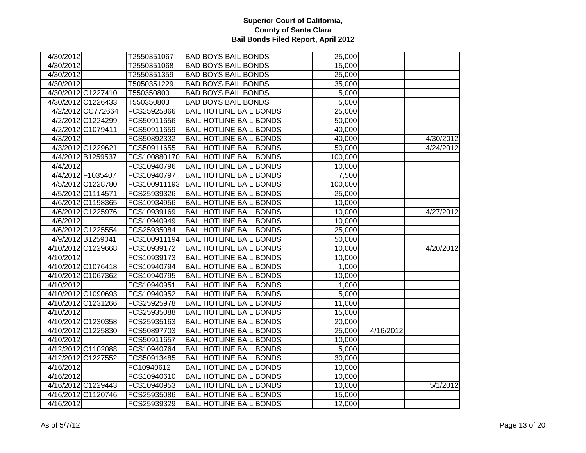| 4/30/2012 |                    | T2550351067  | <b>BAD BOYS BAIL BONDS</b>     | 25,000  |           |           |
|-----------|--------------------|--------------|--------------------------------|---------|-----------|-----------|
| 4/30/2012 |                    | T2550351068  | <b>BAD BOYS BAIL BONDS</b>     | 15,000  |           |           |
| 4/30/2012 |                    | T2550351359  | <b>BAD BOYS BAIL BONDS</b>     | 25,000  |           |           |
| 4/30/2012 |                    | T5050351229  | <b>BAD BOYS BAIL BONDS</b>     | 35,000  |           |           |
|           | 4/30/2012 C1227410 | T550350800   | <b>BAD BOYS BAIL BONDS</b>     | 5,000   |           |           |
|           | 4/30/2012 C1226433 | T550350803   | <b>BAD BOYS BAIL BONDS</b>     | 5,000   |           |           |
|           | 4/2/2012 CC772664  | FCS25925866  | <b>BAIL HOTLINE BAIL BONDS</b> | 25,000  |           |           |
|           | 4/2/2012 C1224299  | FCS50911656  | <b>BAIL HOTLINE BAIL BONDS</b> | 50,000  |           |           |
|           | 4/2/2012 C1079411  | FCS50911659  | <b>BAIL HOTLINE BAIL BONDS</b> | 40,000  |           |           |
| 4/3/2012  |                    | FCS50892332  | <b>BAIL HOTLINE BAIL BONDS</b> | 40,000  |           | 4/30/2012 |
|           | 4/3/2012 C1229621  | FCS50911655  | <b>BAIL HOTLINE BAIL BONDS</b> | 50,000  |           | 4/24/2012 |
|           | 4/4/2012 B1259537  | FCS100880170 | <b>BAIL HOTLINE BAIL BONDS</b> | 100,000 |           |           |
| 4/4/2012  |                    | FCS10940796  | <b>BAIL HOTLINE BAIL BONDS</b> | 10,000  |           |           |
|           | 4/4/2012 F1035407  | FCS10940797  | <b>BAIL HOTLINE BAIL BONDS</b> | 7,500   |           |           |
|           | 4/5/2012 C1228780  | FCS100911193 | <b>BAIL HOTLINE BAIL BONDS</b> | 100,000 |           |           |
|           | 4/5/2012 C1114571  | FCS25939326  | <b>BAIL HOTLINE BAIL BONDS</b> | 25,000  |           |           |
|           | 4/6/2012 C1198365  | FCS10934956  | <b>BAIL HOTLINE BAIL BONDS</b> | 10,000  |           |           |
|           | 4/6/2012 C1225976  | FCS10939169  | <b>BAIL HOTLINE BAIL BONDS</b> | 10,000  |           | 4/27/2012 |
| 4/6/2012  |                    | FCS10940949  | <b>BAIL HOTLINE BAIL BONDS</b> | 10,000  |           |           |
|           | 4/6/2012 C1225554  | FCS25935084  | <b>BAIL HOTLINE BAIL BONDS</b> | 25,000  |           |           |
|           | 4/9/2012 B1259041  | FCS100911194 | <b>BAIL HOTLINE BAIL BONDS</b> | 50,000  |           |           |
|           | 4/10/2012 C1229668 | FCS10939172  | <b>BAIL HOTLINE BAIL BONDS</b> | 10,000  |           | 4/20/2012 |
| 4/10/2012 |                    | FCS10939173  | <b>BAIL HOTLINE BAIL BONDS</b> | 10,000  |           |           |
|           | 4/10/2012 C1076418 | FCS10940794  | <b>BAIL HOTLINE BAIL BONDS</b> | 1,000   |           |           |
|           | 4/10/2012 C1067362 | FCS10940795  | <b>BAIL HOTLINE BAIL BONDS</b> | 10,000  |           |           |
| 4/10/2012 |                    | FCS10940951  | <b>BAIL HOTLINE BAIL BONDS</b> | 1,000   |           |           |
|           | 4/10/2012 C1090693 | FCS10940952  | <b>BAIL HOTLINE BAIL BONDS</b> | 5,000   |           |           |
|           | 4/10/2012 C1231266 | FCS25925978  | <b>BAIL HOTLINE BAIL BONDS</b> | 11,000  |           |           |
| 4/10/2012 |                    | FCS25935088  | <b>BAIL HOTLINE BAIL BONDS</b> | 15,000  |           |           |
|           | 4/10/2012 C1230358 | FCS25935163  | <b>BAIL HOTLINE BAIL BONDS</b> | 20,000  |           |           |
|           | 4/10/2012 C1225830 | FCS50897703  | <b>BAIL HOTLINE BAIL BONDS</b> | 25,000  | 4/16/2012 |           |
| 4/10/2012 |                    | FCS50911657  | <b>BAIL HOTLINE BAIL BONDS</b> | 10,000  |           |           |
|           | 4/12/2012 C1102088 | FCS10940764  | <b>BAIL HOTLINE BAIL BONDS</b> | 5,000   |           |           |
|           | 4/12/2012 C1227552 | FCS50913485  | <b>BAIL HOTLINE BAIL BONDS</b> | 30,000  |           |           |
| 4/16/2012 |                    | FC10940612   | <b>BAIL HOTLINE BAIL BONDS</b> | 10,000  |           |           |
| 4/16/2012 |                    | FCS10940610  | <b>BAIL HOTLINE BAIL BONDS</b> | 10,000  |           |           |
|           | 4/16/2012 C1229443 | FCS10940953  | <b>BAIL HOTLINE BAIL BONDS</b> | 10,000  |           | 5/1/2012  |
|           | 4/16/2012 C1120746 | FCS25935086  | <b>BAIL HOTLINE BAIL BONDS</b> | 15,000  |           |           |
| 4/16/2012 |                    | FCS25939329  | <b>BAIL HOTLINE BAIL BONDS</b> | 12,000  |           |           |
|           |                    |              |                                |         |           |           |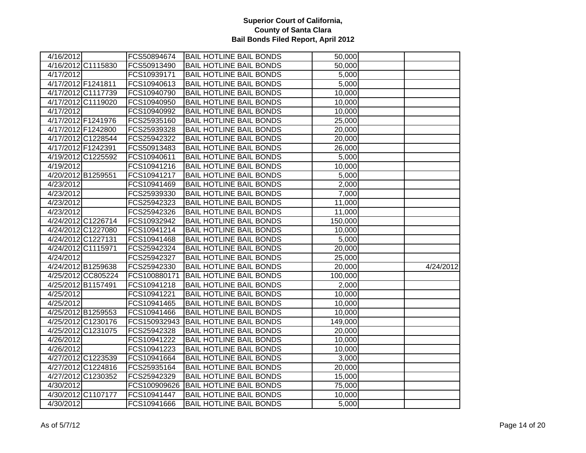| 4/16/2012          |                    | FCS50894674  | <b>BAIL HOTLINE BAIL BONDS</b> | 50,000  |           |
|--------------------|--------------------|--------------|--------------------------------|---------|-----------|
|                    | 4/16/2012 C1115830 | FCS50913490  | <b>BAIL HOTLINE BAIL BONDS</b> | 50,000  |           |
| 4/17/2012          |                    | FCS10939171  | <b>BAIL HOTLINE BAIL BONDS</b> | 5,000   |           |
| 4/17/2012 F1241811 |                    | FCS10940613  | <b>BAIL HOTLINE BAIL BONDS</b> | 5,000   |           |
|                    | 4/17/2012 C1117739 | FCS10940790  | <b>BAIL HOTLINE BAIL BONDS</b> | 10,000  |           |
|                    | 4/17/2012 C1119020 | FCS10940950  | <b>BAIL HOTLINE BAIL BONDS</b> | 10,000  |           |
| 4/17/2012          |                    | FCS10940992  | <b>BAIL HOTLINE BAIL BONDS</b> | 10,000  |           |
|                    | 4/17/2012 F1241976 | FCS25935160  | <b>BAIL HOTLINE BAIL BONDS</b> | 25,000  |           |
|                    | 4/17/2012 F1242800 | FCS25939328  | <b>BAIL HOTLINE BAIL BONDS</b> | 20,000  |           |
|                    | 4/17/2012 C1228544 | FCS25942322  | <b>BAIL HOTLINE BAIL BONDS</b> | 20,000  |           |
|                    | 4/17/2012 F1242391 | FCS50913483  | <b>BAIL HOTLINE BAIL BONDS</b> | 26,000  |           |
|                    | 4/19/2012 C1225592 | FCS10940611  | <b>BAIL HOTLINE BAIL BONDS</b> | 5,000   |           |
| 4/19/2012          |                    | FCS10941216  | <b>BAIL HOTLINE BAIL BONDS</b> | 10,000  |           |
| 4/20/2012 B1259551 |                    | FCS10941217  | <b>BAIL HOTLINE BAIL BONDS</b> | 5,000   |           |
| 4/23/2012          |                    | FCS10941469  | <b>BAIL HOTLINE BAIL BONDS</b> | 2,000   |           |
| 4/23/2012          |                    | FCS25939330  | <b>BAIL HOTLINE BAIL BONDS</b> | 7,000   |           |
| 4/23/2012          |                    | FCS25942323  | <b>BAIL HOTLINE BAIL BONDS</b> | 11,000  |           |
| 4/23/2012          |                    | FCS25942326  | <b>BAIL HOTLINE BAIL BONDS</b> | 11,000  |           |
|                    | 4/24/2012 C1226714 | FCS10932942  | <b>BAIL HOTLINE BAIL BONDS</b> | 150,000 |           |
|                    | 4/24/2012 C1227080 | FCS10941214  | <b>BAIL HOTLINE BAIL BONDS</b> | 10,000  |           |
|                    | 4/24/2012 C1227131 | FCS10941468  | <b>BAIL HOTLINE BAIL BONDS</b> | 5,000   |           |
|                    | 4/24/2012 C1115971 | FCS25942324  | <b>BAIL HOTLINE BAIL BONDS</b> | 20,000  |           |
| 4/24/2012          |                    | FCS25942327  | <b>BAIL HOTLINE BAIL BONDS</b> | 25,000  |           |
|                    | 4/24/2012 B1259638 | FCS25942330  | <b>BAIL HOTLINE BAIL BONDS</b> | 20,000  | 4/24/2012 |
|                    | 4/25/2012 CC805224 | FCS100880171 | <b>BAIL HOTLINE BAIL BONDS</b> | 100,000 |           |
|                    | 4/25/2012 B1157491 | FCS10941218  | <b>BAIL HOTLINE BAIL BONDS</b> | 2,000   |           |
| 4/25/2012          |                    | FCS10941221  | <b>BAIL HOTLINE BAIL BONDS</b> | 10,000  |           |
| 4/25/2012          |                    | FCS10941465  | <b>BAIL HOTLINE BAIL BONDS</b> | 10,000  |           |
|                    | 4/25/2012 B1259553 | FCS10941466  | <b>BAIL HOTLINE BAIL BONDS</b> | 10,000  |           |
|                    | 4/25/2012 C1230176 | FCS150932943 | <b>BAIL HOTLINE BAIL BONDS</b> | 149,000 |           |
|                    | 4/25/2012 C1231075 | FCS25942328  | <b>BAIL HOTLINE BAIL BONDS</b> | 20,000  |           |
| 4/26/2012          |                    | FCS10941222  | <b>BAIL HOTLINE BAIL BONDS</b> | 10,000  |           |
| 4/26/2012          |                    | FCS10941223  | <b>BAIL HOTLINE BAIL BONDS</b> | 10,000  |           |
|                    | 4/27/2012 C1223539 | FCS10941664  | <b>BAIL HOTLINE BAIL BONDS</b> | 3,000   |           |
|                    | 4/27/2012 C1224816 | FCS25935164  | <b>BAIL HOTLINE BAIL BONDS</b> | 20,000  |           |
|                    | 4/27/2012 C1230352 | FCS25942329  | <b>BAIL HOTLINE BAIL BONDS</b> | 15,000  |           |
| 4/30/2012          |                    | FCS100909626 | <b>BAIL HOTLINE BAIL BONDS</b> | 75,000  |           |
|                    | 4/30/2012 C1107177 | FCS10941447  | <b>BAIL HOTLINE BAIL BONDS</b> | 10,000  |           |
| 4/30/2012          |                    | FCS10941666  | <b>BAIL HOTLINE BAIL BONDS</b> | 5,000   |           |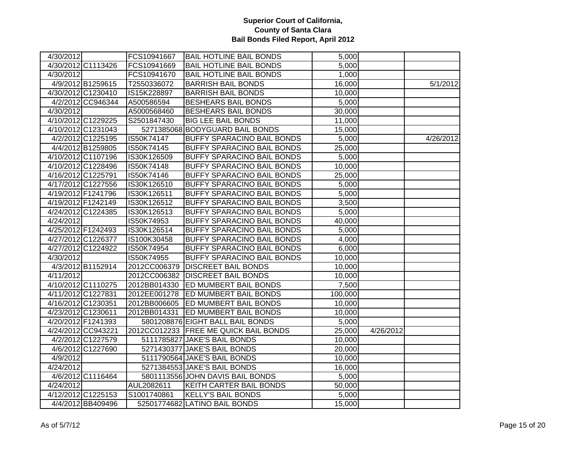| 4/30/2012 C1113426<br>FCS10941669<br><b>BAIL HOTLINE BAIL BONDS</b><br>5,000<br>4/30/2012<br>FCS10941670<br><b>BAIL HOTLINE BAIL BONDS</b><br>1,000<br>4/9/2012 B1259615<br><b>BARRISH BAIL BONDS</b><br>T2550336072<br>16,000<br>4/30/2012 C1230410<br>IS15K228897<br><b>BARRISH BAIL BONDS</b><br>10,000<br>4/2/2012 CC946344<br><b>BESHEARS BAIL BONDS</b><br>A500586594<br>5,000<br>4/30/2012<br><b>BESHEARS BAIL BONDS</b><br>A5000568460<br>30,000<br>4/10/2012 C1229225<br><b>BIG LEE BAIL BONDS</b><br>S2501847430<br>11,000<br>4/10/2012 C1231043<br>5271385068 BODYGUARD BAIL BONDS<br>15,000<br>4/2/2012 C1225195<br>IS50K74147<br><b>BUFFY SPARACINO BAIL BONDS</b><br>5,000<br>4/26/2012<br>4/4/2012 B1259805<br>IS50K74145<br><b>BUFFY SPARACINO BAIL BONDS</b><br>25,000<br>4/10/2012 C1107196<br>IS30K126509<br><b>BUFFY SPARACINO BAIL BONDS</b><br>5,000<br>4/10/2012 C1228496<br>IS50K74148<br><b>BUFFY SPARACINO BAIL BONDS</b><br>10,000<br>4/16/2012 C1225791<br>IS50K74146<br><b>BUFFY SPARACINO BAIL BONDS</b><br>25,000<br>4/17/2012 C1227556<br>IS30K126510<br><b>BUFFY SPARACINO BAIL BONDS</b><br>5,000<br>4/19/2012 F1241796<br>IS30K126511<br><b>BUFFY SPARACINO BAIL BONDS</b><br>5,000<br>4/19/2012 F1242149<br>IS30K126512<br><b>BUFFY SPARACINO BAIL BONDS</b><br>3,500<br>4/24/2012 C1224385<br>IS30K126513<br><b>BUFFY SPARACINO BAIL BONDS</b><br>5,000<br><b>BUFFY SPARACINO BAIL BONDS</b><br>4/24/2012<br>IS50K74953<br>40,000<br>4/25/2012 F1242493<br>IS30K126514<br><b>BUFFY SPARACINO BAIL BONDS</b><br>5,000<br>4/27/2012 C1226377<br><b>BUFFY SPARACINO BAIL BONDS</b><br>IS100K30458<br>4,000<br>4/27/2012 C1224922<br>IS50K74954<br>BUFFY SPARACINO BAIL BONDS<br>6,000<br>4/30/2012<br>IS50K74955<br><b>BUFFY SPARACINO BAIL BONDS</b><br>10,000<br>4/3/2012 B1152914<br>2012CC006379 DISCREET BAIL BONDS<br>10,000<br>4/11/2012<br>2012CC006382 DISCREET BAIL BONDS<br>10,000<br>4/10/2012 C1110275<br>7,500<br>2012BB014330<br><b>ED MUMBERT BAIL BONDS</b><br>4/11/2012 C1227831<br><b>ED MUMBERT BAIL BONDS</b><br>2012EE001278<br>100,000<br>4/16/2012 C1230351<br>2012BB006605<br><b>ED MUMBERT BAIL BONDS</b><br>10,000<br>4/23/2012 C1230611<br>2012BB014331<br><b>ED MUMBERT BAIL BONDS</b><br>10,000<br>5801208876 EIGHT BALL BAIL BONDS<br>4/20/2012 F1241393<br>5,000<br>4/24/2012 CC943221<br>2012CC012233 FREE ME QUICK BAIL BONDS<br>25,000<br>4/26/2012<br>4/2/2012 C1227579<br>5111785827 JAKE'S BAIL BONDS<br>10,000<br>5271430377 JAKE'S BAIL BONDS<br>4/6/2012 C1227690<br>20,000<br>5111790564 JAKE'S BAIL BONDS<br>4/9/2012<br>10,000<br>4/24/2012<br>5271384553 JAKE'S BAIL BONDS<br>16,000<br>4/6/2012 C1116464<br>5801113556 JOHN DAVIS BAIL BONDS<br>5,000<br>4/24/2012<br>AUL2082611<br><b>KEITH CARTER BAIL BONDS</b><br>50,000<br>4/12/2012 C1225153<br>S1001740861<br><b>KELLY'S BAIL BONDS</b><br>5,000<br>4/4/2012 BB409496<br>52501774682 LATINO BAIL BONDS<br>15,000 | 4/30/2012 | FCS10941667 | <b>BAIL HOTLINE BAIL BONDS</b> | 5,000 |          |
|---------------------------------------------------------------------------------------------------------------------------------------------------------------------------------------------------------------------------------------------------------------------------------------------------------------------------------------------------------------------------------------------------------------------------------------------------------------------------------------------------------------------------------------------------------------------------------------------------------------------------------------------------------------------------------------------------------------------------------------------------------------------------------------------------------------------------------------------------------------------------------------------------------------------------------------------------------------------------------------------------------------------------------------------------------------------------------------------------------------------------------------------------------------------------------------------------------------------------------------------------------------------------------------------------------------------------------------------------------------------------------------------------------------------------------------------------------------------------------------------------------------------------------------------------------------------------------------------------------------------------------------------------------------------------------------------------------------------------------------------------------------------------------------------------------------------------------------------------------------------------------------------------------------------------------------------------------------------------------------------------------------------------------------------------------------------------------------------------------------------------------------------------------------------------------------------------------------------------------------------------------------------------------------------------------------------------------------------------------------------------------------------------------------------------------------------------------------------------------------------------------------------------------------------------------------------------------------------------------------------------------------------------------------------------------------------------------------------------------------------------------------------------------------------------------------------------------------------------------------------------------------------------------------------------------------------------------|-----------|-------------|--------------------------------|-------|----------|
|                                                                                                                                                                                                                                                                                                                                                                                                                                                                                                                                                                                                                                                                                                                                                                                                                                                                                                                                                                                                                                                                                                                                                                                                                                                                                                                                                                                                                                                                                                                                                                                                                                                                                                                                                                                                                                                                                                                                                                                                                                                                                                                                                                                                                                                                                                                                                                                                                                                                                                                                                                                                                                                                                                                                                                                                                                                                                                                                                         |           |             |                                |       |          |
|                                                                                                                                                                                                                                                                                                                                                                                                                                                                                                                                                                                                                                                                                                                                                                                                                                                                                                                                                                                                                                                                                                                                                                                                                                                                                                                                                                                                                                                                                                                                                                                                                                                                                                                                                                                                                                                                                                                                                                                                                                                                                                                                                                                                                                                                                                                                                                                                                                                                                                                                                                                                                                                                                                                                                                                                                                                                                                                                                         |           |             |                                |       |          |
|                                                                                                                                                                                                                                                                                                                                                                                                                                                                                                                                                                                                                                                                                                                                                                                                                                                                                                                                                                                                                                                                                                                                                                                                                                                                                                                                                                                                                                                                                                                                                                                                                                                                                                                                                                                                                                                                                                                                                                                                                                                                                                                                                                                                                                                                                                                                                                                                                                                                                                                                                                                                                                                                                                                                                                                                                                                                                                                                                         |           |             |                                |       | 5/1/2012 |
|                                                                                                                                                                                                                                                                                                                                                                                                                                                                                                                                                                                                                                                                                                                                                                                                                                                                                                                                                                                                                                                                                                                                                                                                                                                                                                                                                                                                                                                                                                                                                                                                                                                                                                                                                                                                                                                                                                                                                                                                                                                                                                                                                                                                                                                                                                                                                                                                                                                                                                                                                                                                                                                                                                                                                                                                                                                                                                                                                         |           |             |                                |       |          |
|                                                                                                                                                                                                                                                                                                                                                                                                                                                                                                                                                                                                                                                                                                                                                                                                                                                                                                                                                                                                                                                                                                                                                                                                                                                                                                                                                                                                                                                                                                                                                                                                                                                                                                                                                                                                                                                                                                                                                                                                                                                                                                                                                                                                                                                                                                                                                                                                                                                                                                                                                                                                                                                                                                                                                                                                                                                                                                                                                         |           |             |                                |       |          |
|                                                                                                                                                                                                                                                                                                                                                                                                                                                                                                                                                                                                                                                                                                                                                                                                                                                                                                                                                                                                                                                                                                                                                                                                                                                                                                                                                                                                                                                                                                                                                                                                                                                                                                                                                                                                                                                                                                                                                                                                                                                                                                                                                                                                                                                                                                                                                                                                                                                                                                                                                                                                                                                                                                                                                                                                                                                                                                                                                         |           |             |                                |       |          |
|                                                                                                                                                                                                                                                                                                                                                                                                                                                                                                                                                                                                                                                                                                                                                                                                                                                                                                                                                                                                                                                                                                                                                                                                                                                                                                                                                                                                                                                                                                                                                                                                                                                                                                                                                                                                                                                                                                                                                                                                                                                                                                                                                                                                                                                                                                                                                                                                                                                                                                                                                                                                                                                                                                                                                                                                                                                                                                                                                         |           |             |                                |       |          |
|                                                                                                                                                                                                                                                                                                                                                                                                                                                                                                                                                                                                                                                                                                                                                                                                                                                                                                                                                                                                                                                                                                                                                                                                                                                                                                                                                                                                                                                                                                                                                                                                                                                                                                                                                                                                                                                                                                                                                                                                                                                                                                                                                                                                                                                                                                                                                                                                                                                                                                                                                                                                                                                                                                                                                                                                                                                                                                                                                         |           |             |                                |       |          |
|                                                                                                                                                                                                                                                                                                                                                                                                                                                                                                                                                                                                                                                                                                                                                                                                                                                                                                                                                                                                                                                                                                                                                                                                                                                                                                                                                                                                                                                                                                                                                                                                                                                                                                                                                                                                                                                                                                                                                                                                                                                                                                                                                                                                                                                                                                                                                                                                                                                                                                                                                                                                                                                                                                                                                                                                                                                                                                                                                         |           |             |                                |       |          |
|                                                                                                                                                                                                                                                                                                                                                                                                                                                                                                                                                                                                                                                                                                                                                                                                                                                                                                                                                                                                                                                                                                                                                                                                                                                                                                                                                                                                                                                                                                                                                                                                                                                                                                                                                                                                                                                                                                                                                                                                                                                                                                                                                                                                                                                                                                                                                                                                                                                                                                                                                                                                                                                                                                                                                                                                                                                                                                                                                         |           |             |                                |       |          |
|                                                                                                                                                                                                                                                                                                                                                                                                                                                                                                                                                                                                                                                                                                                                                                                                                                                                                                                                                                                                                                                                                                                                                                                                                                                                                                                                                                                                                                                                                                                                                                                                                                                                                                                                                                                                                                                                                                                                                                                                                                                                                                                                                                                                                                                                                                                                                                                                                                                                                                                                                                                                                                                                                                                                                                                                                                                                                                                                                         |           |             |                                |       |          |
|                                                                                                                                                                                                                                                                                                                                                                                                                                                                                                                                                                                                                                                                                                                                                                                                                                                                                                                                                                                                                                                                                                                                                                                                                                                                                                                                                                                                                                                                                                                                                                                                                                                                                                                                                                                                                                                                                                                                                                                                                                                                                                                                                                                                                                                                                                                                                                                                                                                                                                                                                                                                                                                                                                                                                                                                                                                                                                                                                         |           |             |                                |       |          |
|                                                                                                                                                                                                                                                                                                                                                                                                                                                                                                                                                                                                                                                                                                                                                                                                                                                                                                                                                                                                                                                                                                                                                                                                                                                                                                                                                                                                                                                                                                                                                                                                                                                                                                                                                                                                                                                                                                                                                                                                                                                                                                                                                                                                                                                                                                                                                                                                                                                                                                                                                                                                                                                                                                                                                                                                                                                                                                                                                         |           |             |                                |       |          |
|                                                                                                                                                                                                                                                                                                                                                                                                                                                                                                                                                                                                                                                                                                                                                                                                                                                                                                                                                                                                                                                                                                                                                                                                                                                                                                                                                                                                                                                                                                                                                                                                                                                                                                                                                                                                                                                                                                                                                                                                                                                                                                                                                                                                                                                                                                                                                                                                                                                                                                                                                                                                                                                                                                                                                                                                                                                                                                                                                         |           |             |                                |       |          |
|                                                                                                                                                                                                                                                                                                                                                                                                                                                                                                                                                                                                                                                                                                                                                                                                                                                                                                                                                                                                                                                                                                                                                                                                                                                                                                                                                                                                                                                                                                                                                                                                                                                                                                                                                                                                                                                                                                                                                                                                                                                                                                                                                                                                                                                                                                                                                                                                                                                                                                                                                                                                                                                                                                                                                                                                                                                                                                                                                         |           |             |                                |       |          |
|                                                                                                                                                                                                                                                                                                                                                                                                                                                                                                                                                                                                                                                                                                                                                                                                                                                                                                                                                                                                                                                                                                                                                                                                                                                                                                                                                                                                                                                                                                                                                                                                                                                                                                                                                                                                                                                                                                                                                                                                                                                                                                                                                                                                                                                                                                                                                                                                                                                                                                                                                                                                                                                                                                                                                                                                                                                                                                                                                         |           |             |                                |       |          |
|                                                                                                                                                                                                                                                                                                                                                                                                                                                                                                                                                                                                                                                                                                                                                                                                                                                                                                                                                                                                                                                                                                                                                                                                                                                                                                                                                                                                                                                                                                                                                                                                                                                                                                                                                                                                                                                                                                                                                                                                                                                                                                                                                                                                                                                                                                                                                                                                                                                                                                                                                                                                                                                                                                                                                                                                                                                                                                                                                         |           |             |                                |       |          |
|                                                                                                                                                                                                                                                                                                                                                                                                                                                                                                                                                                                                                                                                                                                                                                                                                                                                                                                                                                                                                                                                                                                                                                                                                                                                                                                                                                                                                                                                                                                                                                                                                                                                                                                                                                                                                                                                                                                                                                                                                                                                                                                                                                                                                                                                                                                                                                                                                                                                                                                                                                                                                                                                                                                                                                                                                                                                                                                                                         |           |             |                                |       |          |
|                                                                                                                                                                                                                                                                                                                                                                                                                                                                                                                                                                                                                                                                                                                                                                                                                                                                                                                                                                                                                                                                                                                                                                                                                                                                                                                                                                                                                                                                                                                                                                                                                                                                                                                                                                                                                                                                                                                                                                                                                                                                                                                                                                                                                                                                                                                                                                                                                                                                                                                                                                                                                                                                                                                                                                                                                                                                                                                                                         |           |             |                                |       |          |
|                                                                                                                                                                                                                                                                                                                                                                                                                                                                                                                                                                                                                                                                                                                                                                                                                                                                                                                                                                                                                                                                                                                                                                                                                                                                                                                                                                                                                                                                                                                                                                                                                                                                                                                                                                                                                                                                                                                                                                                                                                                                                                                                                                                                                                                                                                                                                                                                                                                                                                                                                                                                                                                                                                                                                                                                                                                                                                                                                         |           |             |                                |       |          |
|                                                                                                                                                                                                                                                                                                                                                                                                                                                                                                                                                                                                                                                                                                                                                                                                                                                                                                                                                                                                                                                                                                                                                                                                                                                                                                                                                                                                                                                                                                                                                                                                                                                                                                                                                                                                                                                                                                                                                                                                                                                                                                                                                                                                                                                                                                                                                                                                                                                                                                                                                                                                                                                                                                                                                                                                                                                                                                                                                         |           |             |                                |       |          |
|                                                                                                                                                                                                                                                                                                                                                                                                                                                                                                                                                                                                                                                                                                                                                                                                                                                                                                                                                                                                                                                                                                                                                                                                                                                                                                                                                                                                                                                                                                                                                                                                                                                                                                                                                                                                                                                                                                                                                                                                                                                                                                                                                                                                                                                                                                                                                                                                                                                                                                                                                                                                                                                                                                                                                                                                                                                                                                                                                         |           |             |                                |       |          |
|                                                                                                                                                                                                                                                                                                                                                                                                                                                                                                                                                                                                                                                                                                                                                                                                                                                                                                                                                                                                                                                                                                                                                                                                                                                                                                                                                                                                                                                                                                                                                                                                                                                                                                                                                                                                                                                                                                                                                                                                                                                                                                                                                                                                                                                                                                                                                                                                                                                                                                                                                                                                                                                                                                                                                                                                                                                                                                                                                         |           |             |                                |       |          |
|                                                                                                                                                                                                                                                                                                                                                                                                                                                                                                                                                                                                                                                                                                                                                                                                                                                                                                                                                                                                                                                                                                                                                                                                                                                                                                                                                                                                                                                                                                                                                                                                                                                                                                                                                                                                                                                                                                                                                                                                                                                                                                                                                                                                                                                                                                                                                                                                                                                                                                                                                                                                                                                                                                                                                                                                                                                                                                                                                         |           |             |                                |       |          |
|                                                                                                                                                                                                                                                                                                                                                                                                                                                                                                                                                                                                                                                                                                                                                                                                                                                                                                                                                                                                                                                                                                                                                                                                                                                                                                                                                                                                                                                                                                                                                                                                                                                                                                                                                                                                                                                                                                                                                                                                                                                                                                                                                                                                                                                                                                                                                                                                                                                                                                                                                                                                                                                                                                                                                                                                                                                                                                                                                         |           |             |                                |       |          |
|                                                                                                                                                                                                                                                                                                                                                                                                                                                                                                                                                                                                                                                                                                                                                                                                                                                                                                                                                                                                                                                                                                                                                                                                                                                                                                                                                                                                                                                                                                                                                                                                                                                                                                                                                                                                                                                                                                                                                                                                                                                                                                                                                                                                                                                                                                                                                                                                                                                                                                                                                                                                                                                                                                                                                                                                                                                                                                                                                         |           |             |                                |       |          |
|                                                                                                                                                                                                                                                                                                                                                                                                                                                                                                                                                                                                                                                                                                                                                                                                                                                                                                                                                                                                                                                                                                                                                                                                                                                                                                                                                                                                                                                                                                                                                                                                                                                                                                                                                                                                                                                                                                                                                                                                                                                                                                                                                                                                                                                                                                                                                                                                                                                                                                                                                                                                                                                                                                                                                                                                                                                                                                                                                         |           |             |                                |       |          |
|                                                                                                                                                                                                                                                                                                                                                                                                                                                                                                                                                                                                                                                                                                                                                                                                                                                                                                                                                                                                                                                                                                                                                                                                                                                                                                                                                                                                                                                                                                                                                                                                                                                                                                                                                                                                                                                                                                                                                                                                                                                                                                                                                                                                                                                                                                                                                                                                                                                                                                                                                                                                                                                                                                                                                                                                                                                                                                                                                         |           |             |                                |       |          |
|                                                                                                                                                                                                                                                                                                                                                                                                                                                                                                                                                                                                                                                                                                                                                                                                                                                                                                                                                                                                                                                                                                                                                                                                                                                                                                                                                                                                                                                                                                                                                                                                                                                                                                                                                                                                                                                                                                                                                                                                                                                                                                                                                                                                                                                                                                                                                                                                                                                                                                                                                                                                                                                                                                                                                                                                                                                                                                                                                         |           |             |                                |       |          |
|                                                                                                                                                                                                                                                                                                                                                                                                                                                                                                                                                                                                                                                                                                                                                                                                                                                                                                                                                                                                                                                                                                                                                                                                                                                                                                                                                                                                                                                                                                                                                                                                                                                                                                                                                                                                                                                                                                                                                                                                                                                                                                                                                                                                                                                                                                                                                                                                                                                                                                                                                                                                                                                                                                                                                                                                                                                                                                                                                         |           |             |                                |       |          |
|                                                                                                                                                                                                                                                                                                                                                                                                                                                                                                                                                                                                                                                                                                                                                                                                                                                                                                                                                                                                                                                                                                                                                                                                                                                                                                                                                                                                                                                                                                                                                                                                                                                                                                                                                                                                                                                                                                                                                                                                                                                                                                                                                                                                                                                                                                                                                                                                                                                                                                                                                                                                                                                                                                                                                                                                                                                                                                                                                         |           |             |                                |       |          |
|                                                                                                                                                                                                                                                                                                                                                                                                                                                                                                                                                                                                                                                                                                                                                                                                                                                                                                                                                                                                                                                                                                                                                                                                                                                                                                                                                                                                                                                                                                                                                                                                                                                                                                                                                                                                                                                                                                                                                                                                                                                                                                                                                                                                                                                                                                                                                                                                                                                                                                                                                                                                                                                                                                                                                                                                                                                                                                                                                         |           |             |                                |       |          |
|                                                                                                                                                                                                                                                                                                                                                                                                                                                                                                                                                                                                                                                                                                                                                                                                                                                                                                                                                                                                                                                                                                                                                                                                                                                                                                                                                                                                                                                                                                                                                                                                                                                                                                                                                                                                                                                                                                                                                                                                                                                                                                                                                                                                                                                                                                                                                                                                                                                                                                                                                                                                                                                                                                                                                                                                                                                                                                                                                         |           |             |                                |       |          |
|                                                                                                                                                                                                                                                                                                                                                                                                                                                                                                                                                                                                                                                                                                                                                                                                                                                                                                                                                                                                                                                                                                                                                                                                                                                                                                                                                                                                                                                                                                                                                                                                                                                                                                                                                                                                                                                                                                                                                                                                                                                                                                                                                                                                                                                                                                                                                                                                                                                                                                                                                                                                                                                                                                                                                                                                                                                                                                                                                         |           |             |                                |       |          |
|                                                                                                                                                                                                                                                                                                                                                                                                                                                                                                                                                                                                                                                                                                                                                                                                                                                                                                                                                                                                                                                                                                                                                                                                                                                                                                                                                                                                                                                                                                                                                                                                                                                                                                                                                                                                                                                                                                                                                                                                                                                                                                                                                                                                                                                                                                                                                                                                                                                                                                                                                                                                                                                                                                                                                                                                                                                                                                                                                         |           |             |                                |       |          |
|                                                                                                                                                                                                                                                                                                                                                                                                                                                                                                                                                                                                                                                                                                                                                                                                                                                                                                                                                                                                                                                                                                                                                                                                                                                                                                                                                                                                                                                                                                                                                                                                                                                                                                                                                                                                                                                                                                                                                                                                                                                                                                                                                                                                                                                                                                                                                                                                                                                                                                                                                                                                                                                                                                                                                                                                                                                                                                                                                         |           |             |                                |       |          |
|                                                                                                                                                                                                                                                                                                                                                                                                                                                                                                                                                                                                                                                                                                                                                                                                                                                                                                                                                                                                                                                                                                                                                                                                                                                                                                                                                                                                                                                                                                                                                                                                                                                                                                                                                                                                                                                                                                                                                                                                                                                                                                                                                                                                                                                                                                                                                                                                                                                                                                                                                                                                                                                                                                                                                                                                                                                                                                                                                         |           |             |                                |       |          |
|                                                                                                                                                                                                                                                                                                                                                                                                                                                                                                                                                                                                                                                                                                                                                                                                                                                                                                                                                                                                                                                                                                                                                                                                                                                                                                                                                                                                                                                                                                                                                                                                                                                                                                                                                                                                                                                                                                                                                                                                                                                                                                                                                                                                                                                                                                                                                                                                                                                                                                                                                                                                                                                                                                                                                                                                                                                                                                                                                         |           |             |                                |       |          |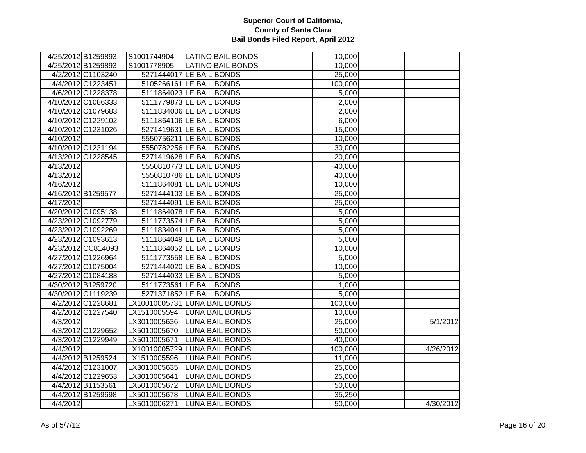|                    | 4/25/2012 B1259893 |              | S1001744904   LATINO BAIL BONDS | 10,000              |           |
|--------------------|--------------------|--------------|---------------------------------|---------------------|-----------|
|                    | 4/25/2012 B1259893 | S1001778905  | <b>LATINO BAIL BONDS</b>        | 10,000              |           |
|                    | 4/2/2012 C1103240  |              | 5271444017 LE BAIL BONDS        | 25,000              |           |
|                    | 4/4/2012 C1223451  |              | 5105266161 LE BAIL BONDS        | 100,000             |           |
|                    | 4/6/2012 C1228378  |              | 5111864023 LE BAIL BONDS        | 5,000               |           |
|                    | 4/10/2012 C1086333 |              | 5111779873 LE BAIL BONDS        | 2,000               |           |
|                    | 4/10/2012 C1079683 |              | 5111834006 LE BAIL BONDS        | 2,000               |           |
|                    | 4/10/2012 C1229102 |              | 5111864106 LE BAIL BONDS        | 6,000               |           |
|                    | 4/10/2012 C1231026 |              | 5271419631 LE BAIL BONDS        | 15,000              |           |
| 4/10/2012          |                    |              | 5550756211 LE BAIL BONDS        | 10,000              |           |
|                    | 4/10/2012 C1231194 |              | 5550782256 LE BAIL BONDS        | 30,000              |           |
|                    | 4/13/2012 C1228545 |              | 5271419628 LE BAIL BONDS        | 20,000              |           |
| 4/13/2012          |                    |              | 5550810773 LE BAIL BONDS        | 40,000              |           |
| 4/13/2012          |                    |              | 5550810786 LE BAIL BONDS        | 40,000              |           |
| 4/16/2012          |                    |              | 5111864081 LE BAIL BONDS        | 10,000              |           |
| 4/16/2012 B1259577 |                    |              | 5271444103 LE BAIL BONDS        | 25,000              |           |
| 4/17/2012          |                    |              | 5271444091 LE BAIL BONDS        | 25,000              |           |
|                    | 4/20/2012 C1095138 |              | 5111864078 LE BAIL BONDS        | 5,000               |           |
|                    | 4/23/2012 C1092779 |              | 5111773574 LE BAIL BONDS        | 5,000               |           |
|                    | 4/23/2012 C1092269 |              | 5111834041 LE BAIL BONDS        | 5,000               |           |
|                    | 4/23/2012 C1093613 |              | 5111864049 LE BAIL BONDS        | 5,000               |           |
|                    | 4/23/2012 CC814093 |              | 5111864052 LE BAIL BONDS        | 10,000              |           |
|                    | 4/27/2012 C1226964 |              | 5111773558 LE BAIL BONDS        | 5,000               |           |
|                    | 4/27/2012 C1075004 |              | 5271444020 LE BAIL BONDS        | 10,000              |           |
|                    | 4/27/2012 C1084183 |              | 5271444033 LE BAIL BONDS        | 5,000               |           |
|                    | 4/30/2012 B1259720 |              | 5111773561 LE BAIL BONDS        | 1,000               |           |
|                    | 4/30/2012 C1119239 |              | 5271371852 LE BAIL BONDS        | 5,000               |           |
|                    | 4/2/2012 C1228681  |              | LX10010005731 LUNA BAIL BONDS   | 100,000             |           |
|                    | 4/2/2012 C1227540  |              | LX1510005594 LUNA BAIL BONDS    | 10,000              |           |
| 4/3/2012           |                    |              | LX3010005636 LUNA BAIL BONDS    | $\overline{2}5,000$ | 5/1/2012  |
|                    | 4/3/2012 C1229652  |              | LX5010005670 LUNA BAIL BONDS    | 50,000              |           |
|                    | 4/3/2012 C1229949  | LX5010005671 | <b>LUNA BAIL BONDS</b>          | 40,000              |           |
| 4/4/2012           |                    |              | LX10010005729 LUNA BAIL BONDS   | 100,000             | 4/26/2012 |
|                    | 4/4/2012 B1259524  |              | LX1510005596 LUNA BAIL BONDS    | 11,000              |           |
|                    | 4/4/2012 C1231007  | LX3010005635 | <b>LUNA BAIL BONDS</b>          | 25,000              |           |
|                    | 4/4/2012 C1229653  | LX3010005641 | <b>LUNA BAIL BONDS</b>          | 25,000              |           |
|                    | 4/4/2012 B1153561  | LX5010005672 | <b>LUNA BAIL BONDS</b>          | 50,000              |           |
|                    | 4/4/2012 B1259698  | LX5010005678 | <b>LUNA BAIL BONDS</b>          | 35,250              |           |
| 4/4/2012           |                    | LX5010006271 | <b>LUNA BAIL BONDS</b>          | 50,000              | 4/30/2012 |
|                    |                    |              |                                 |                     |           |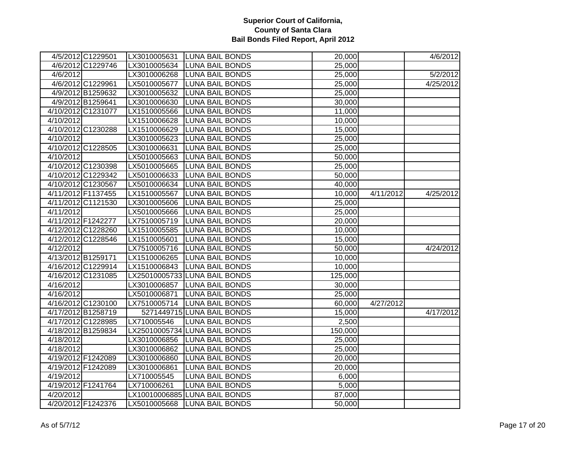|           | 4/5/2012 C1229501  |              | LX3010005631 LUNA BAIL BONDS  | 20,000  |           | 4/6/2012  |
|-----------|--------------------|--------------|-------------------------------|---------|-----------|-----------|
|           | 4/6/2012 C1229746  |              | LX3010005634 LUNA BAIL BONDS  | 25,000  |           |           |
| 4/6/2012  |                    |              | LX3010006268 LUNA BAIL BONDS  | 25,000  |           | 5/2/2012  |
|           | 4/6/2012 C1229961  | LX5010005677 | <b>LUNA BAIL BONDS</b>        | 25,000  |           | 4/25/2012 |
|           | 4/9/2012 B1259632  |              | LX3010005632 LUNA BAIL BONDS  | 25,000  |           |           |
|           | 4/9/2012 B1259641  |              | LX3010006630 LUNA BAIL BONDS  | 30,000  |           |           |
|           | 4/10/2012 C1231077 |              | LX1510005566 LUNA BAIL BONDS  | 11,000  |           |           |
| 4/10/2012 |                    |              | LX1510006628 LUNA BAIL BONDS  | 10,000  |           |           |
|           | 4/10/2012 C1230288 |              | LX1510006629 LUNA BAIL BONDS  | 15,000  |           |           |
| 4/10/2012 |                    | LX3010005623 | <b>LUNA BAIL BONDS</b>        | 25,000  |           |           |
|           | 4/10/2012 C1228505 | LX3010006631 | <b>LUNA BAIL BONDS</b>        | 25,000  |           |           |
| 4/10/2012 |                    |              | LX5010005663 LUNA BAIL BONDS  | 50,000  |           |           |
|           | 4/10/2012 C1230398 | LX5010005665 | <b>LUNA BAIL BONDS</b>        | 25,000  |           |           |
|           | 4/10/2012 C1229342 | LX5010006633 | <b>LUNA BAIL BONDS</b>        | 50,000  |           |           |
|           | 4/10/2012 C1230567 | LX5010006634 | <b>LUNA BAIL BONDS</b>        | 40,000  |           |           |
|           | 4/11/2012 F1137455 |              | LX1510005567 LUNA BAIL BONDS  | 10,000  | 4/11/2012 | 4/25/2012 |
|           | 4/11/2012 C1121530 |              | LX3010005606 LUNA BAIL BONDS  | 25,000  |           |           |
| 4/11/2012 |                    |              | LX5010005666 LUNA BAIL BONDS  | 25,000  |           |           |
|           | 4/11/2012 F1242277 |              | LX7510005719  LUNA BAIL BONDS | 20,000  |           |           |
|           | 4/12/2012 C1228260 |              | LX1510005585 LUNA BAIL BONDS  | 10,000  |           |           |
|           | 4/12/2012 C1228546 |              | LX1510005601 LUNA BAIL BONDS  | 15,000  |           |           |
| 4/12/2012 |                    |              | LX7510005716 LUNA BAIL BONDS  | 50,000  |           | 4/24/2012 |
|           | 4/13/2012 B1259171 |              | LX1510006265 LUNA BAIL BONDS  | 10,000  |           |           |
|           | 4/16/2012 C1229914 |              | LX1510006843 LUNA BAIL BONDS  | 10,000  |           |           |
|           | 4/16/2012 C1231085 |              | LX25010005733 LUNA BAIL BONDS | 125,000 |           |           |
| 4/16/2012 |                    |              | LX3010006857 LUNA BAIL BONDS  | 30,000  |           |           |
| 4/16/2012 |                    |              | LX5010006871 LUNA BAIL BONDS  | 25,000  |           |           |
|           | 4/16/2012 C1230100 |              | LX7510005714 LUNA BAIL BONDS  | 60,000  | 4/27/2012 |           |
|           | 4/17/2012 B1258719 |              | 5271449715 LUNA BAIL BONDS    | 15,000  |           | 4/17/2012 |
|           | 4/17/2012 C1228985 | LX710005546  | <b>LUNA BAIL BONDS</b>        | 2,500   |           |           |
|           | 4/18/2012 B1259834 |              | LX25010005734 LUNA BAIL BONDS | 150,000 |           |           |
| 4/18/2012 |                    |              | LX3010006856 LUNA BAIL BONDS  | 25,000  |           |           |
| 4/18/2012 |                    |              | LX3010006862 LUNA BAIL BONDS  | 25,000  |           |           |
|           | 4/19/2012 F1242089 | LX3010006860 | <b>LUNA BAIL BONDS</b>        | 20,000  |           |           |
|           | 4/19/2012 F1242089 | LX3010006861 | <b>LUNA BAIL BONDS</b>        | 20,000  |           |           |
| 4/19/2012 |                    | LX710005545  | <b>LUNA BAIL BONDS</b>        | 6,000   |           |           |
|           | 4/19/2012 F1241764 | LX710006261  | <b>LUNA BAIL BONDS</b>        | 5,000   |           |           |
| 4/20/2012 |                    |              | LX10010006885 LUNA BAIL BONDS | 87,000  |           |           |
|           | 4/20/2012 F1242376 |              | LX5010005668 LUNA BAIL BONDS  | 50,000  |           |           |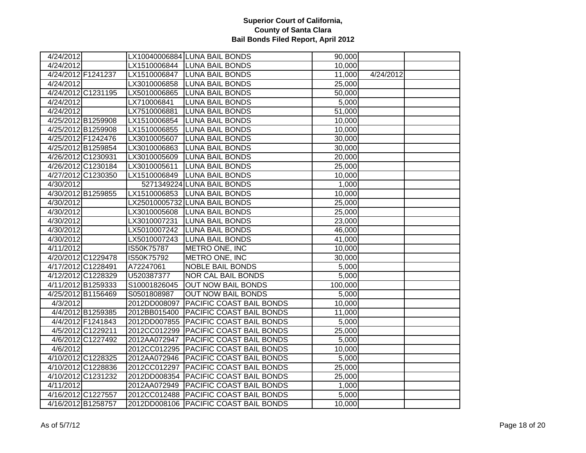| 4/24/2012 |                    |              | LX10040006884 LUNA BAIL BONDS           | 90,000  |           |  |
|-----------|--------------------|--------------|-----------------------------------------|---------|-----------|--|
| 4/24/2012 |                    |              | LX1510006844 LUNA BAIL BONDS            | 10,000  |           |  |
|           | 4/24/2012 F1241237 |              | LX1510006847  LUNA BAIL BONDS           | 11,000  | 4/24/2012 |  |
| 4/24/2012 |                    | LX3010006858 | <b>LUNA BAIL BONDS</b>                  | 25,000  |           |  |
|           | 4/24/2012 C1231195 | LX5010006865 | <b>LUNA BAIL BONDS</b>                  | 50,000  |           |  |
| 4/24/2012 |                    | LX710006841  | <b>LUNA BAIL BONDS</b>                  | 5,000   |           |  |
| 4/24/2012 |                    | LX7510006881 | <b>LUNA BAIL BONDS</b>                  | 51,000  |           |  |
|           | 4/25/2012 B1259908 | LX1510006854 | <b>LUNA BAIL BONDS</b>                  | 10,000  |           |  |
|           | 4/25/2012 B1259908 | LX1510006855 | <b>LUNA BAIL BONDS</b>                  | 10,000  |           |  |
|           | 4/25/2012 F1242476 | LX3010005607 | <b>LUNA BAIL BONDS</b>                  | 30,000  |           |  |
|           | 4/25/2012 B1259854 | LX3010006863 | <b>LUNA BAIL BONDS</b>                  | 30,000  |           |  |
|           | 4/26/2012 C1230931 | LX3010005609 | <b>LUNA BAIL BONDS</b>                  | 20,000  |           |  |
|           | 4/26/2012 C1230184 | LX3010005611 | <b>LUNA BAIL BONDS</b>                  | 25,000  |           |  |
|           | 4/27/2012 C1230350 | LX1510006849 | <b>LUNA BAIL BONDS</b>                  | 10,000  |           |  |
| 4/30/2012 |                    |              | 5271349224 LUNA BAIL BONDS              | 1,000   |           |  |
|           | 4/30/2012 B1259855 | LX1510006853 | <b>LUNA BAIL BONDS</b>                  | 10,000  |           |  |
| 4/30/2012 |                    |              | LX25010005732 LUNA BAIL BONDS           | 25,000  |           |  |
| 4/30/2012 |                    |              | LX3010005608 LUNA BAIL BONDS            | 25,000  |           |  |
| 4/30/2012 |                    | LX3010007231 | <b>LUNA BAIL BONDS</b>                  | 23,000  |           |  |
| 4/30/2012 |                    |              | LX5010007242 LUNA BAIL BONDS            | 46,000  |           |  |
| 4/30/2012 |                    | LX5010007243 | <b>LUNA BAIL BONDS</b>                  | 41,000  |           |  |
| 4/11/2012 |                    | IS50K75787   | METRO ONE, INC                          | 10,000  |           |  |
|           | 4/20/2012 C1229478 | IS50K75792   | METRO ONE, INC                          | 30,000  |           |  |
|           | 4/17/2012 C1228491 | A72247061    | <b>NOBLE BAIL BONDS</b>                 | 5,000   |           |  |
|           | 4/12/2012 C1228329 | U520387377   | <b>NOR CAL BAIL BONDS</b>               | 5,000   |           |  |
|           | 4/11/2012 B1259333 | S10001826045 | <b>OUT NOW BAIL BONDS</b>               | 100,000 |           |  |
|           | 4/25/2012 B1156469 | S0501808987  | <b>OUT NOW BAIL BONDS</b>               | 5,000   |           |  |
| 4/3/2012  |                    | 2012DD008097 | <b>PACIFIC COAST BAIL BONDS</b>         | 10,000  |           |  |
|           | 4/4/2012 B1259385  | 2012BB015400 | <b>PACIFIC COAST BAIL BONDS</b>         | 11,000  |           |  |
|           | 4/4/2012 F1241843  |              | 2012DD007855 PACIFIC COAST BAIL BONDS   | 5,000   |           |  |
|           | 4/5/2012 C1229211  |              | 2012CC012299   PACIFIC COAST BAIL BONDS | 25,000  |           |  |
|           | 4/6/2012 C1227492  | 2012AA072947 | <b>PACIFIC COAST BAIL BONDS</b>         | 5,000   |           |  |
| 4/6/2012  |                    |              | 2012CC012295 PACIFIC COAST BAIL BONDS   | 10,000  |           |  |
|           | 4/10/2012 C1228325 |              | 2012AA072946   PACIFIC COAST BAIL BONDS | 5,000   |           |  |
|           | 4/10/2012 C1228836 | 2012CC012297 | <b>PACIFIC COAST BAIL BONDS</b>         | 25,000  |           |  |
|           | 4/10/2012 C1231232 | 2012DD008354 | <b>PACIFIC COAST BAIL BONDS</b>         | 25,000  |           |  |
| 4/11/2012 |                    | 2012AA072949 | <b>PACIFIC COAST BAIL BONDS</b>         | 1,000   |           |  |
|           | 4/16/2012 C1227557 |              | 2012CC012488 PACIFIC COAST BAIL BONDS   | 5,000   |           |  |
|           | 4/16/2012 B1258757 |              | 2012DD008106 PACIFIC COAST BAIL BONDS   | 10,000  |           |  |
|           |                    |              |                                         |         |           |  |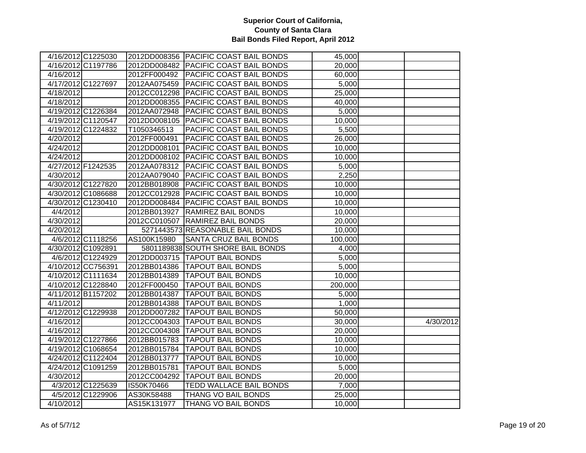|                    | 4/16/2012 C1225030 |              | 2012DD008356 PACIFIC COAST BAIL BONDS   | 45,000  |           |
|--------------------|--------------------|--------------|-----------------------------------------|---------|-----------|
|                    | 4/16/2012 C1197786 |              | 2012DD008482 PACIFIC COAST BAIL BONDS   | 20,000  |           |
| 4/16/2012          |                    | 2012FF000492 | <b>PACIFIC COAST BAIL BONDS</b>         | 60,000  |           |
|                    |                    | 2012AA075459 |                                         |         |           |
| 4/17/2012 C1227697 |                    |              | <b>PACIFIC COAST BAIL BONDS</b>         | 5,000   |           |
| 4/18/2012          |                    | 2012CC012298 | <b>PACIFIC COAST BAIL BONDS</b>         | 25,000  |           |
| 4/18/2012          |                    |              | 2012DD008355 PACIFIC COAST BAIL BONDS   | 40,000  |           |
| 4/19/2012 C1226384 |                    | 2012AA072948 | <b>PACIFIC COAST BAIL BONDS</b>         | 5,000   |           |
|                    | 4/19/2012 C1120547 | 2012DD008105 | <b>PACIFIC COAST BAIL BONDS</b>         | 10,000  |           |
|                    | 4/19/2012 C1224832 | T1050346513  | PACIFIC COAST BAIL BONDS                | 5,500   |           |
| 4/20/2012          |                    | 2012FF000491 | PACIFIC COAST BAIL BONDS                | 26,000  |           |
| 4/24/2012          |                    | 2012DD008101 | <b>PACIFIC COAST BAIL BONDS</b>         | 10,000  |           |
| 4/24/2012          |                    |              | 2012DD008102 PACIFIC COAST BAIL BONDS   | 10,000  |           |
| 4/27/2012 F1242535 |                    | 2012AA078312 | <b>PACIFIC COAST BAIL BONDS</b>         | 5,000   |           |
| 4/30/2012          |                    | 2012AA079040 | <b>PACIFIC COAST BAIL BONDS</b>         | 2,250   |           |
|                    | 4/30/2012 C1227820 | 2012BB018908 | <b>PACIFIC COAST BAIL BONDS</b>         | 10,000  |           |
|                    | 4/30/2012 C1086688 | 2012CC012928 | <b>PACIFIC COAST BAIL BONDS</b>         | 10,000  |           |
|                    | 4/30/2012 C1230410 |              | 2012DD008484   PACIFIC COAST BAIL BONDS | 10,000  |           |
| 4/4/2012           |                    | 2012BB013927 | <b>RAMIREZ BAIL BONDS</b>               | 10,000  |           |
| 4/30/2012          |                    |              | 2012CC010507 RAMIREZ BAIL BONDS         | 20,000  |           |
| 4/20/2012          |                    |              | 5271443573 REASONABLE BAIL BONDS        | 10,000  |           |
|                    | 4/6/2012 C1118256  | AS100K15980  | <b>SANTA CRUZ BAIL BONDS</b>            | 100,000 |           |
|                    | 4/30/2012 C1092891 |              | 5801189838 SOUTH SHORE BAIL BONDS       | 4,000   |           |
|                    | 4/6/2012 C1224929  |              | 2012DD003715  TAPOUT BAIL BONDS         | 5,000   |           |
|                    | 4/10/2012 CC756391 |              | 2012BB014386   TAPOUT BAIL BONDS        | 5,000   |           |
|                    | 4/10/2012 C1111634 |              | 2012BB014389   TAPOUT BAIL BONDS        | 10,000  |           |
|                    | 4/10/2012 C1228840 | 2012FF000450 | <b>TAPOUT BAIL BONDS</b>                | 200,000 |           |
| 4/11/2012 B1157202 |                    |              | 2012BB014387   TAPOUT BAIL BONDS        | 5,000   |           |
| 4/11/2012          |                    | 2012BB014388 | <b>TAPOUT BAIL BONDS</b>                | 1,000   |           |
| 4/12/2012 C1229938 |                    |              | 2012DD007282 TAPOUT BAIL BONDS          | 50,000  |           |
| 4/16/2012          |                    |              | 2012CC004303 TAPOUT BAIL BONDS          | 30,000  | 4/30/2012 |
| 4/16/2012          |                    |              | 2012CC004308 TAPOUT BAIL BONDS          | 20,000  |           |
|                    | 4/19/2012 C1227866 | 2012BB015783 | <b>TAPOUT BAIL BONDS</b>                | 10,000  |           |
|                    | 4/19/2012 C1068654 | 2012BB015784 | <b>TAPOUT BAIL BONDS</b>                | 10,000  |           |
|                    | 4/24/2012 C1122404 | 2012BB013777 | <b>TAPOUT BAIL BONDS</b>                | 10,000  |           |
| 4/24/2012 C1091259 |                    | 2012BB015781 | <b>TAPOUT BAIL BONDS</b>                | 5,000   |           |
| 4/30/2012          |                    |              | 2012CC004292 TAPOUT BAIL BONDS          | 20,000  |           |
|                    | 4/3/2012 C1225639  | IS50K70466   | <b>TEDD WALLACE BAIL BONDS</b>          | 7,000   |           |
|                    | 4/5/2012 C1229906  | AS30K58488   | THANG VO BAIL BONDS                     | 25,000  |           |
| 4/10/2012          |                    | AS15K131977  | <b>THANG VO BAIL BONDS</b>              | 10,000  |           |
|                    |                    |              |                                         |         |           |